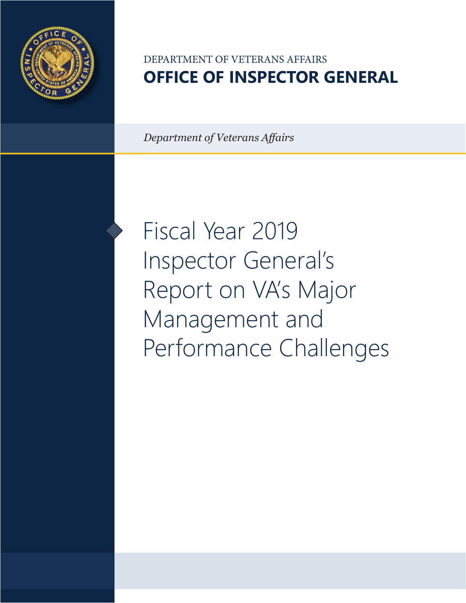

# DEPARTMENT OF VETERANS AFFAIRS **OFFICE OF INSPECTOR GENERAL**

*Department of Veterans Affairs*

Fiscal Year 2019 Inspector General's Report on VA's Major Management and Performance Challenges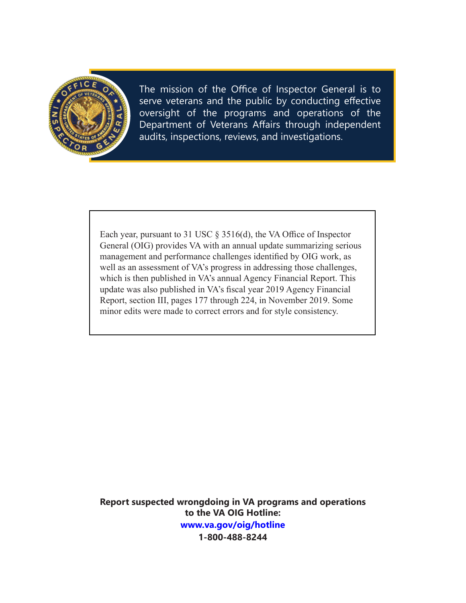

The mission of the Office of Inspector General is to serve veterans and the public by conducting effective oversight of the programs and operations of the Department of Veterans Affairs through independent audits, inspections, reviews, and investigations.

Each year, pursuant to 31 USC § 3516(d), the VA Office of Inspector General (OIG) provides VA with an annual update summarizing serious management and performance challenges identified by OIG work, as well as an assessment of VA's progress in addressing those challenges, which is then published in VA's annual Agency Financial Report. This update was also published in VA's fiscal year 2019 Agency Financial Report, section III, pages 177 through 224, in November 2019. Some minor edits were made to correct errors and for style consistency.

**Report suspected wrongdoing in VA programs and operations to the VA OIG Hotline: [www.va.gov/oig/hotline](http://www.va.gov/oig/hotline) 1-800-488-8244**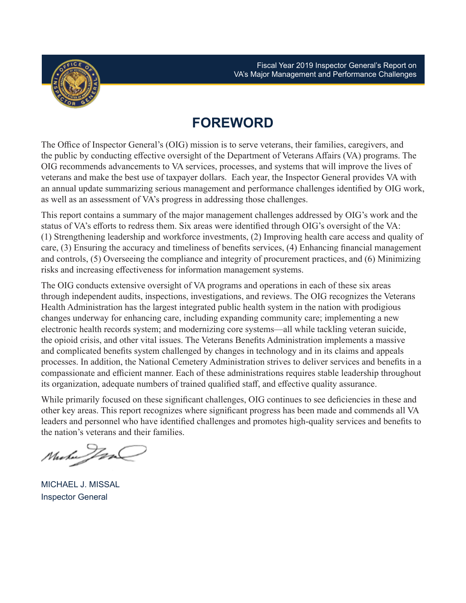

Fiscal Year 2019 Inspector General's Report on VA's Major Management and Performance Challenges

## **FOREWORD**

The Office of Inspector General's (OIG) mission is to serve veterans, their families, caregivers, and the public by conducting effective oversight of the Department of Veterans Affairs (VA) programs. The OIG recommends advancements to VA services, processes, and systems that will improve the lives of veterans and make the best use of taxpayer dollars. Each year, the Inspector General provides VA with an annual update summarizing serious management and performance challenges identified by OIG work, as well as an assessment of VA's progress in addressing those challenges.

This report contains a summary of the major management challenges addressed by OIG's work and the status of VA's efforts to redress them. Six areas were identified through OIG's oversight of the VA: (1) Strengthening leadership and workforce investments, (2) Improving health care access and quality of care, (3) Ensuring the accuracy and timeliness of benefits services, (4) Enhancing financial management and controls, (5) Overseeing the compliance and integrity of procurement practices, and (6) Minimizing risks and increasing effectiveness for information management systems.

The OIG conducts extensive oversight of VA programs and operations in each of these six areas through independent audits, inspections, investigations, and reviews. The OIG recognizes the Veterans Health Administration has the largest integrated public health system in the nation with prodigious changes underway for enhancing care, including expanding community care; implementing a new electronic health records system; and modernizing core systems—all while tackling veteran suicide, the opioid crisis, and other vital issues. The Veterans Benefits Administration implements a massive and complicated benefits system challenged by changes in technology and in its claims and appeals processes. In addition, the National Cemetery Administration strives to deliver services and benefits in a compassionate and efficient manner. Each of these administrations requires stable leadership throughout its organization, adequate numbers of trained qualified staff, and effective quality assurance.

While primarily focused on these significant challenges, OIG continues to see deficiencies in these and other key areas. This report recognizes where significant progress has been made and commends all VA leaders and personnel who have identified challenges and promotes high-quality services and benefits to the nation's veterans and their families.

Mucha Jan

MICHAEL J. MISSAL Inspector General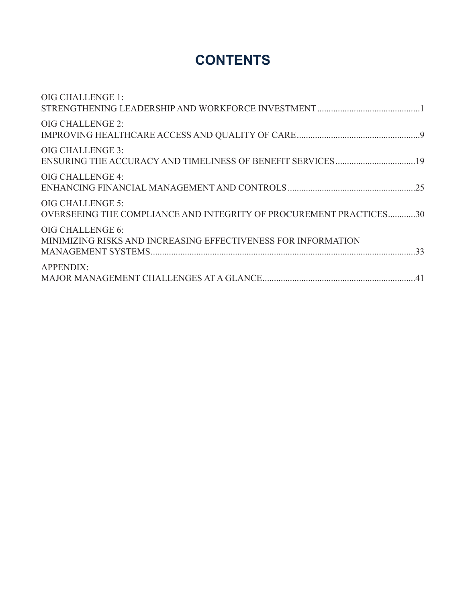# **CONTENTS**

| <b>OIG CHALLENGE 1:</b>                                                                       |
|-----------------------------------------------------------------------------------------------|
| <b>OIG CHALLENGE 2:</b>                                                                       |
| <b>OIG CHALLENGE 3:</b>                                                                       |
| <b>OIG CHALLENGE 4:</b>                                                                       |
| <b>OIG CHALLENGE 5:</b><br>OVERSEEING THE COMPLIANCE AND INTEGRITY OF PROCUREMENT PRACTICES30 |
| OIG CHALLENGE 6:<br>MINIMIZING RISKS AND INCREASING EFFECTIVENESS FOR INFORMATION             |
| <b>APPENDIX:</b>                                                                              |
|                                                                                               |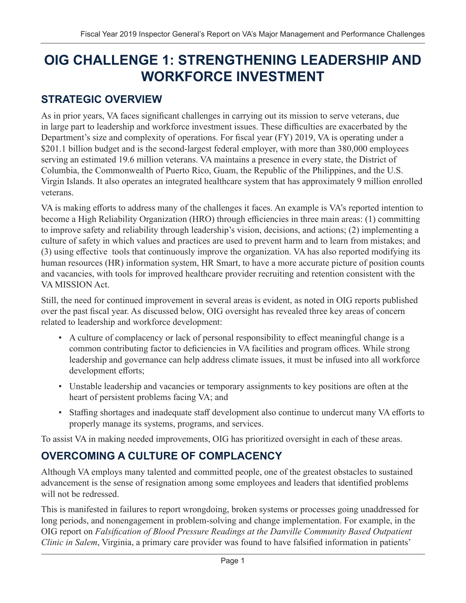# <span id="page-4-0"></span>**OIG CHALLENGE 1: STRENGTHENING LEADERSHIP AND WORKFORCE INVESTMENT**

### **STRATEGIC OVERVIEW**

As in prior years, VA faces significant challenges in carrying out its mission to serve veterans, due in large part to leadership and workforce investment issues. These difficulties are exacerbated by the Department's size and complexity of operations. For fiscal year (FY) 2019, VA is operating under a \$201.1 billion budget and is the second-largest federal employer, with more than 380,000 employees serving an estimated 19.6 million veterans. VA maintains a presence in every state, the District of Columbia, the Commonwealth of Puerto Rico, Guam, the Republic of the Philippines, and the U.S. Virgin Islands. It also operates an integrated healthcare system that has approximately 9 million enrolled veterans.

VA is making efforts to address many of the challenges it faces. An example is VA's reported intention to become a High Reliability Organization (HRO) through efficiencies in three main areas: (1) committing to improve safety and reliability through leadership's vision, decisions, and actions; (2) implementing a culture of safety in which values and practices are used to prevent harm and to learn from mistakes; and (3) using effective tools that continuously improve the organization. VA has also reported modifying its human resources (HR) information system, HR Smart, to have a more accurate picture of position counts and vacancies, with tools for improved healthcare provider recruiting and retention consistent with the VA MISSION Act.

Still, the need for continued improvement in several areas is evident, as noted in OIG reports published over the past fiscal year. As discussed below, OIG oversight has revealed three key areas of concern related to leadership and workforce development:

- A culture of complacency or lack of personal responsibility to effect meaningful change is a common contributing factor to deficiencies in VA facilities and program offices. While strong leadership and governance can help address climate issues, it must be infused into all workforce development efforts;
- Unstable leadership and vacancies or temporary assignments to key positions are often at the heart of persistent problems facing VA; and
- Staffing shortages and inadequate staff development also continue to undercut many VA efforts to properly manage its systems, programs, and services.

To assist VA in making needed improvements, OIG has prioritized oversight in each of these areas.

## **OVERCOMING A CULTURE OF COMPLACENCY**

Although VA employs many talented and committed people, one of the greatest obstacles to sustained advancement is the sense of resignation among some employees and leaders that identified problems will not be redressed.

This is manifested in failures to report wrongdoing, broken systems or processes going unaddressed for long periods, and nonengagement in problem-solving and change implementation. For example, in the OIG report on *Falsification of Blood Pressure Readings at the Danville Community Based Outpatient Clinic in Salem*, Virginia, a primary care provider was found to have falsified information in patients'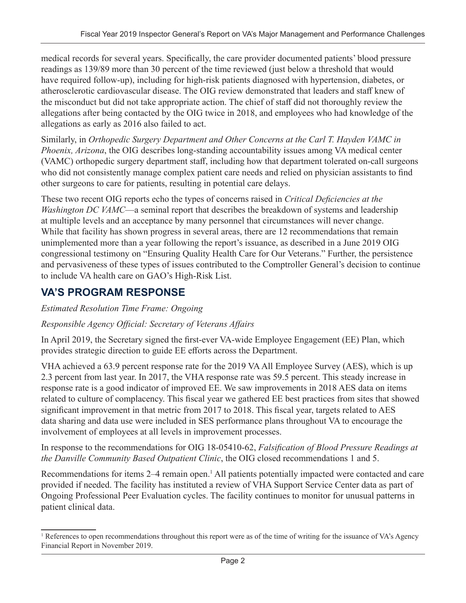medical records for several years. Specifically, the care provider documented patients' blood pressure readings as 139/89 more than 30 percent of the time reviewed (just below a threshold that would have required follow-up), including for high-risk patients diagnosed with hypertension, diabetes, or atherosclerotic cardiovascular disease. The OIG review demonstrated that leaders and staff knew of the misconduct but did not take appropriate action. The chief of staff did not thoroughly review the allegations after being contacted by the OIG twice in 2018, and employees who had knowledge of the allegations as early as 2016 also failed to act.

Similarly, in *Orthopedic Surgery Department and Other Concerns at the Carl T. Hayden VAMC in Phoenix, Arizona*, the OIG describes long-standing accountability issues among VA medical center (VAMC) orthopedic surgery department staff, including how that department tolerated on-call surgeons who did not consistently manage complex patient care needs and relied on physician assistants to find other surgeons to care for patients, resulting in potential care delays.

These two recent OIG reports echo the types of concerns raised in *Critical Deficiencies at the Washington DC VAMC—a* seminal report that describes the breakdown of systems and leadership at multiple levels and an acceptance by many personnel that circumstances will never change. While that facility has shown progress in several areas, there are 12 recommendations that remain unimplemented more than a year following the report's issuance, as described in a June 2019 OIG congressional testimony on "Ensuring Quality Health Care for Our Veterans." Further, the persistence and pervasiveness of these types of issues contributed to the Comptroller General's decision to continue to include VA health care on GAO's High-Risk List.

### **VA'S PROGRAM RESPONSE**

*Estimated Resolution Time Frame: Ongoing*

#### *Responsible Agency Official: Secretary of Veterans Affairs*

In April 2019, the Secretary signed the first-ever VA-wide Employee Engagement (EE) Plan, which provides strategic direction to guide EE efforts across the Department.

VHA achieved a 63.9 percent response rate for the 2019 VA All Employee Survey (AES), which is up 2.3 percent from last year. In 2017, the VHA response rate was 59.5 percent. This steady increase in response rate is a good indicator of improved EE. We saw improvements in 2018 AES data on items related to culture of complacency. This fiscal year we gathered EE best practices from sites that showed significant improvement in that metric from 2017 to 2018. This fiscal year, targets related to AES data sharing and data use were included in SES performance plans throughout VA to encourage the involvement of employees at all levels in improvement processes.

In response to the recommendations for OIG 18-05410-62, *Falsification of Blood Pressure Readings at the Danville Community Based Outpatient Clinic*, the OIG closed recommendations 1 and 5.

Recommendations for items 2–4 remain open.<sup>1</sup> All patients potentially impacted were contacted and care provided if needed. The facility has instituted a review of VHA Support Service Center data as part of Ongoing Professional Peer Evaluation cycles. The facility continues to monitor for unusual patterns in patient clinical data.

<sup>&</sup>lt;sup>1</sup> References to open recommendations throughout this report were as of the time of writing for the issuance of VA's Agency Financial Report in November 2019.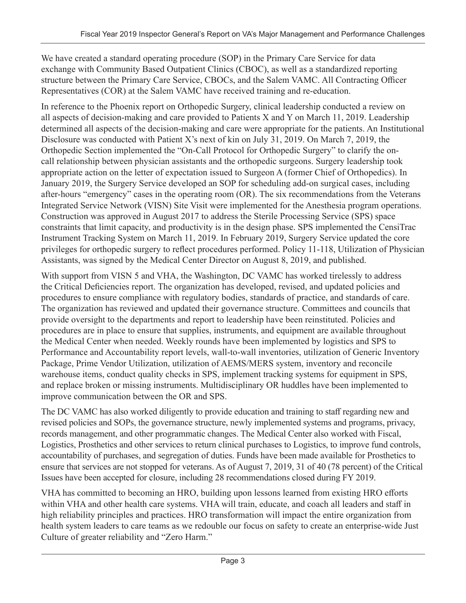We have created a standard operating procedure (SOP) in the Primary Care Service for data exchange with Community Based Outpatient Clinics (CBOC), as well as a standardized reporting structure between the Primary Care Service, CBOCs, and the Salem VAMC. All Contracting Officer Representatives (COR) at the Salem VAMC have received training and re-education.

In reference to the Phoenix report on Orthopedic Surgery, clinical leadership conducted a review on all aspects of decision-making and care provided to Patients X and Y on March 11, 2019. Leadership determined all aspects of the decision-making and care were appropriate for the patients. An Institutional Disclosure was conducted with Patient X's next of kin on July 31, 2019. On March 7, 2019, the Orthopedic Section implemented the "On-Call Protocol for Orthopedic Surgery" to clarify the oncall relationship between physician assistants and the orthopedic surgeons. Surgery leadership took appropriate action on the letter of expectation issued to Surgeon A (former Chief of Orthopedics). In January 2019, the Surgery Service developed an SOP for scheduling add-on surgical cases, including after-hours "emergency" cases in the operating room (OR). The six recommendations from the Veterans Integrated Service Network (VISN) Site Visit were implemented for the Anesthesia program operations. Construction was approved in August 2017 to address the Sterile Processing Service (SPS) space constraints that limit capacity, and productivity is in the design phase. SPS implemented the CensiTrac Instrument Tracking System on March 11, 2019. In February 2019, Surgery Service updated the core privileges for orthopedic surgery to reflect procedures performed. Policy 11-118, Utilization of Physician Assistants, was signed by the Medical Center Director on August 8, 2019, and published.

With support from VISN 5 and VHA, the Washington, DC VAMC has worked tirelessly to address the Critical Deficiencies report. The organization has developed, revised, and updated policies and procedures to ensure compliance with regulatory bodies, standards of practice, and standards of care. The organization has reviewed and updated their governance structure. Committees and councils that provide oversight to the departments and report to leadership have been reinstituted. Policies and procedures are in place to ensure that supplies, instruments, and equipment are available throughout the Medical Center when needed. Weekly rounds have been implemented by logistics and SPS to Performance and Accountability report levels, wall-to-wall inventories, utilization of Generic Inventory Package, Prime Vendor Utilization, utilization of AEMS/MERS system, inventory and reconcile warehouse items, conduct quality checks in SPS, implement tracking systems for equipment in SPS, and replace broken or missing instruments. Multidisciplinary OR huddles have been implemented to improve communication between the OR and SPS.

The DC VAMC has also worked diligently to provide education and training to staff regarding new and revised policies and SOPs, the governance structure, newly implemented systems and programs, privacy, records management, and other programmatic changes. The Medical Center also worked with Fiscal, Logistics, Prosthetics and other services to return clinical purchases to Logistics, to improve fund controls, accountability of purchases, and segregation of duties. Funds have been made available for Prosthetics to ensure that services are not stopped for veterans. As of August 7, 2019, 31 of 40 (78 percent) of the Critical Issues have been accepted for closure, including 28 recommendations closed during FY 2019.

VHA has committed to becoming an HRO, building upon lessons learned from existing HRO efforts within VHA and other health care systems. VHA will train, educate, and coach all leaders and staff in high reliability principles and practices. HRO transformation will impact the entire organization from health system leaders to care teams as we redouble our focus on safety to create an enterprise-wide Just Culture of greater reliability and "Zero Harm."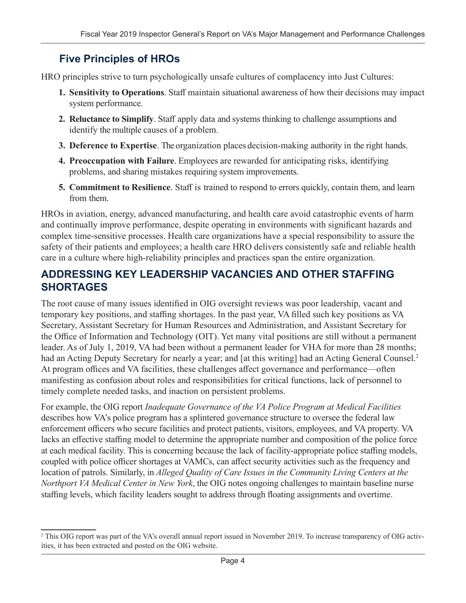### **Five Principles of HROs**

HRO principles strive to turn psychologically unsafe cultures of complacency into Just Cultures:

- **1. Sensitivity to Operations**. Staff maintain situational awareness of how their decisions may impact system performance.
- **2. Reluctance to Simplify**. Staff apply data and systems thinking to challenge assumptions and identify the multiple causes of a problem.
- **3. Deference to Expertise**. The organization places decision-making authority in the right hands.
- **4. Preoccupation with Failure**. Employees are rewarded for anticipating risks, identifying problems, and sharing mistakes requiring system improvements.
- **5. Commitment to Resilience**. Staff is trained to respond to errors quickly, contain them, and learn from them.

HROs in aviation, energy, advanced manufacturing, and health care avoid catastrophic events of harm and continually improve performance, despite operating in environments with significant hazards and complex time-sensitive processes. Health care organizations have a special responsibility to assure the safety of their patients and employees; a health care HRO delivers consistently safe and reliable health care in a culture where high-reliability principles and practices span the entire organization.

#### **ADDRESSING KEY LEADERSHIP VACANCIES AND OTHER STAFFING SHORTAGES**

The root cause of many issues identified in OIG oversight reviews was poor leadership, vacant and temporary key positions, and staffing shortages. In the past year, VA filled such key positions as VA Secretary, Assistant Secretary for Human Resources and Administration, and Assistant Secretary for the Office of Information and Technology (OIT). Yet many vital positions are still without a permanent leader. As of July 1, 2019, VA had been without a permanent leader for VHA for more than 28 months; had an Acting Deputy Secretary for nearly a year; and [at this writing] had an Acting General Counsel.<sup>2</sup> At program offices and VA facilities, these challenges affect governance and performance—often manifesting as confusion about roles and responsibilities for critical functions, lack of personnel to timely complete needed tasks, and inaction on persistent problems.

For example, the OIG report *Inadequate Governance of the VA Police Program at Medical Facilities* describes how VA's police program has a splintered governance structure to oversee the federal law enforcement officers who secure facilities and protect patients, visitors, employees, and VA property. VA lacks an effective staffing model to determine the appropriate number and composition of the police force at each medical facility. This is concerning because the lack of facility-appropriate police staffing models, coupled with police officer shortages at VAMCs, can affect security activities such as the frequency and location of patrols. Similarly, in *Alleged Quality of Care Issues in the Community Living Centers at the Northport VA Medical Center in New York*, the OIG notes ongoing challenges to maintain baseline nurse staffing levels, which facility leaders sought to address through floating assignments and overtime.

<sup>&</sup>lt;sup>2</sup> This OIG report was part of the VA's overall annual report issued in November 2019. To increase transparency of OIG activities, it has been extracted and posted on the OIG website.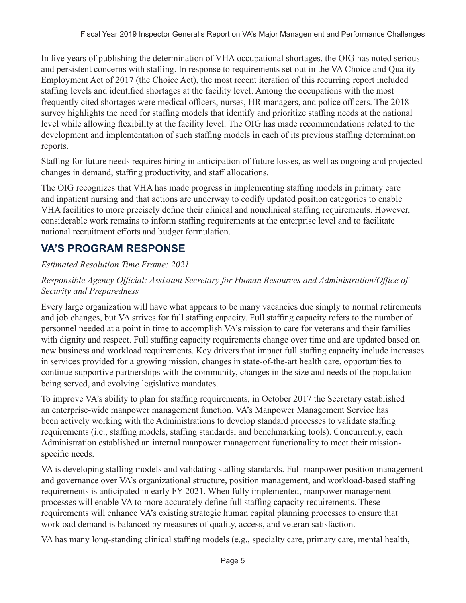In five years of publishing the determination of VHA occupational shortages, the OIG has noted serious and persistent concerns with staffing. In response to requirements set out in the VA Choice and Quality Employment Act of 2017 (the Choice Act), the most recent iteration of this recurring report included staffing levels and identified shortages at the facility level. Among the occupations with the most frequently cited shortages were medical officers, nurses, HR managers, and police officers. The 2018 survey highlights the need for staffing models that identify and prioritize staffing needs at the national level while allowing flexibility at the facility level. The OIG has made recommendations related to the development and implementation of such staffing models in each of its previous staffing determination reports.

Staffing for future needs requires hiring in anticipation of future losses, as well as ongoing and projected changes in demand, staffing productivity, and staff allocations.

The OIG recognizes that VHA has made progress in implementing staffing models in primary care and inpatient nursing and that actions are underway to codify updated position categories to enable VHA facilities to more precisely define their clinical and nonclinical staffing requirements. However, considerable work remains to inform staffing requirements at the enterprise level and to facilitate national recruitment efforts and budget formulation.

## **VA'S PROGRAM RESPONSE**

#### *Estimated Resolution Time Frame: 2021*

#### *Responsible Agency Official: Assistant Secretary for Human Resources and Administration/Office of Security and Preparedness*

Every large organization will have what appears to be many vacancies due simply to normal retirements and job changes, but VA strives for full staffing capacity. Full staffing capacity refers to the number of personnel needed at a point in time to accomplish VA's mission to care for veterans and their families with dignity and respect. Full staffing capacity requirements change over time and are updated based on new business and workload requirements. Key drivers that impact full staffing capacity include increases in services provided for a growing mission, changes in state-of-the-art health care, opportunities to continue supportive partnerships with the community, changes in the size and needs of the population being served, and evolving legislative mandates.

To improve VA's ability to plan for staffing requirements, in October 2017 the Secretary established an enterprise-wide manpower management function. VA's Manpower Management Service has been actively working with the Administrations to develop standard processes to validate staffing requirements (i.e., staffing models, staffing standards, and benchmarking tools). Concurrently, each Administration established an internal manpower management functionality to meet their missionspecific needs.

VA is developing staffing models and validating staffing standards. Full manpower position management and governance over VA's organizational structure, position management, and workload-based staffing requirements is anticipated in early FY 2021. When fully implemented, manpower management processes will enable VA to more accurately define full staffing capacity requirements. These requirements will enhance VA's existing strategic human capital planning processes to ensure that workload demand is balanced by measures of quality, access, and veteran satisfaction.

VA has many long-standing clinical staffing models (e.g., specialty care, primary care, mental health,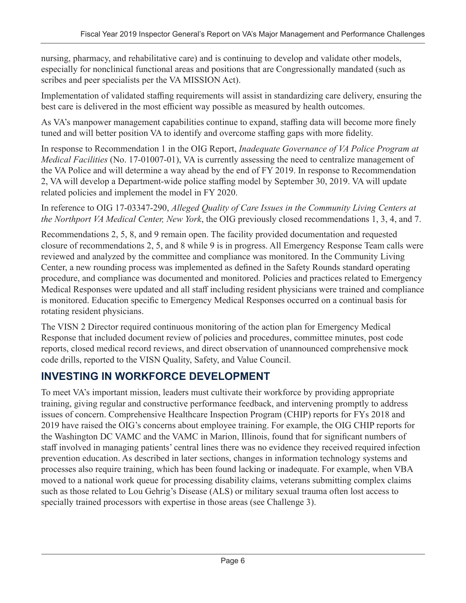nursing, pharmacy, and rehabilitative care) and is continuing to develop and validate other models, especially for nonclinical functional areas and positions that are Congressionally mandated (such as scribes and peer specialists per the VA MISSION Act).

Implementation of validated staffing requirements will assist in standardizing care delivery, ensuring the best care is delivered in the most efficient way possible as measured by health outcomes.

As VA's manpower management capabilities continue to expand, staffing data will become more finely tuned and will better position VA to identify and overcome staffing gaps with more fidelity.

In response to Recommendation 1 in the OIG Report, *Inadequate Governance of VA Police Program at Medical Facilities* (No. 17-01007-01), VA is currently assessing the need to centralize management of the VA Police and will determine a way ahead by the end of FY 2019. In response to Recommendation 2, VA will develop a Department-wide police staffing model by September 30, 2019. VA will update related policies and implement the model in FY 2020.

In reference to OIG 17-03347-290, *Alleged Quality of Care Issues in the Community Living Centers at the Northport VA Medical Center, New York*, the OIG previously closed recommendations 1, 3, 4, and 7.

Recommendations 2, 5, 8, and 9 remain open. The facility provided documentation and requested closure of recommendations 2, 5, and 8 while 9 is in progress. All Emergency Response Team calls were reviewed and analyzed by the committee and compliance was monitored. In the Community Living Center, a new rounding process was implemented as defined in the Safety Rounds standard operating procedure, and compliance was documented and monitored. Policies and practices related to Emergency Medical Responses were updated and all staff including resident physicians were trained and compliance is monitored. Education specific to Emergency Medical Responses occurred on a continual basis for rotating resident physicians.

The VISN 2 Director required continuous monitoring of the action plan for Emergency Medical Response that included document review of policies and procedures, committee minutes, post code reports, closed medical record reviews, and direct observation of unannounced comprehensive mock code drills, reported to the VISN Quality, Safety, and Value Council.

### **INVESTING IN WORKFORCE DEVELOPMENT**

To meet VA's important mission, leaders must cultivate their workforce by providing appropriate training, giving regular and constructive performance feedback, and intervening promptly to address issues of concern. Comprehensive Healthcare Inspection Program (CHIP) reports for FYs 2018 and 2019 have raised the OIG's concerns about employee training. For example, the OIG CHIP reports for the Washington DC VAMC and the VAMC in Marion, Illinois, found that for significant numbers of staff involved in managing patients' central lines there was no evidence they received required infection prevention education. As described in later sections, changes in information technology systems and processes also require training, which has been found lacking or inadequate. For example, when VBA moved to a national work queue for processing disability claims, veterans submitting complex claims such as those related to Lou Gehrig's Disease (ALS) or military sexual trauma often lost access to specially trained processors with expertise in those areas (see Challenge 3).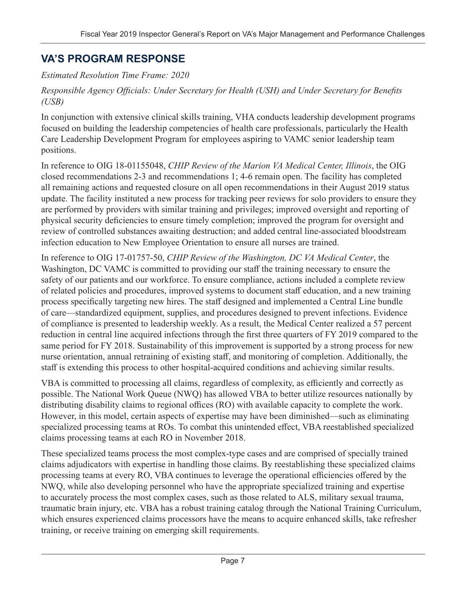### **VA'S PROGRAM RESPONSE**

#### *Estimated Resolution Time Frame: 2020*

#### *Responsible Agency Officials: Under Secretary for Health (USH) and Under Secretary for Benefits (USB)*

In conjunction with extensive clinical skills training, VHA conducts leadership development programs focused on building the leadership competencies of health care professionals, particularly the Health Care Leadership Development Program for employees aspiring to VAMC senior leadership team positions.

In reference to OIG 18-01155048, *[CHIP](https://www.va.gov/oig/pubs/VAOIG-18-01155-48.pdf) [Review of the Marion VA Medical Center,](https://www.va.gov/oig/pubs/VAOIG-18-01155-48.pdf) [Illinois](https://www.va.gov/oig/pubs/VAOIG-18-01155-48.pdf)*, the OIG closed recommendations 2-3 and recommendations 1; 4-6 remain open. The facility has completed all remaining actions and requested closure on all open recommendations in their August 2019 status update. The facility instituted a new process for tracking peer reviews for solo providers to ensure they are performed by providers with similar training and privileges; improved oversight and reporting of physical security deficiencies to ensure timely completion; improved the program for oversight and review of controlled substances awaiting destruction; and added central line-associated bloodstream infection education to New Employee Orientation to ensure all nurses are trained.

In reference to OIG 17-01757-50, *CHIP Review of the Washington, DC VA Medical Center*, the Washington, DC VAMC is committed to providing our staff the training necessary to ensure the safety of our patients and our workforce. To ensure compliance, actions included a complete review of related policies and procedures, improved systems to document staff education, and a new training process specifically targeting new hires. The staff designed and implemented a Central Line bundle of care—standardized equipment, supplies, and procedures designed to prevent infections. Evidence of compliance is presented to leadership weekly. As a result, the Medical Center realized a 57 percent reduction in central line acquired infections through the first three quarters of FY 2019 compared to the same period for FY 2018. Sustainability of this improvement is supported by a strong process for new nurse orientation, annual retraining of existing staff, and monitoring of completion. Additionally, the staff is extending this process to other hospital-acquired conditions and achieving similar results.

VBA is committed to processing all claims, regardless of complexity, as efficiently and correctly as possible. The National Work Queue (NWQ) has allowed VBA to better utilize resources nationally by distributing disability claims to regional offices (RO) with available capacity to complete the work. However, in this model, certain aspects of expertise may have been diminished—such as eliminating specialized processing teams at ROs. To combat this unintended effect, VBA reestablished specialized claims processing teams at each RO in November 2018.

These specialized teams process the most complex-type cases and are comprised of specially trained claims adjudicators with expertise in handling those claims. By reestablishing these specialized claims processing teams at every RO, VBA continues to leverage the operational efficiencies offered by the NWQ, while also developing personnel who have the appropriate specialized training and expertise to accurately process the most complex cases, such as those related to ALS, military sexual trauma, traumatic brain injury, etc. VBA has a robust training catalog through the National Training Curriculum, which ensures experienced claims processors have the means to acquire enhanced skills, take refresher training, or receive training on emerging skill requirements.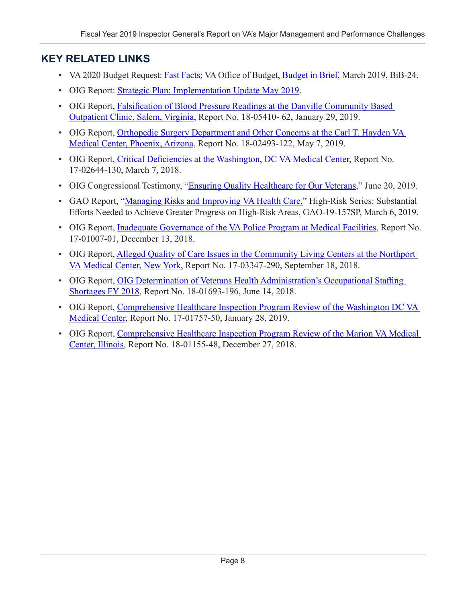#### **KEY RELATED LINKS**

- [VA 2020 Budget Request: Fast Facts](https://www.va.gov/budget/docs/summary/archive/FY-2020-VA-BudgetSubmission.zip); VA Office of Budget, [Budget in Brief,](https://www.va.gov/budget/docs/summary/archive/FY-2020-VA-BudgetSubmission.zip) March 2019, BiB-24.
- OIG Report: [Strategic Plan: Implementation Update May 2019](https://www.va.gov/oig/pubs/VA-OIG-Strategic-Plan-May-2019-Implementation-Update.pdf).
- OIG Report, [Falsification of Blood Pressure Readings at the Danville Community Based](https://www.va.gov/oig/pubs/VAOIG-18-05410-62.pdf)  [Outpatient Clinic, Salem, Virginia,](https://www.va.gov/oig/pubs/VAOIG-18-05410-62.pdf) Report No. 18-05410- 62, January 29, 2019.
- OIG Report, Orthopedic Surgery Department and Other Concerns at the Carl T. Hayden VA [Medical Center, Phoenix, Arizona](https://www.va.gov/oig/pubs/VAOIG-18-02493-122.pdf), Report No. 18-02493-122, May 7, 2019.
- OIG Report, [Critical Deficiencies at the Washington, DC VA Medical Center](http://www.va.gov/oig/pubs/VAOIG-17-02644-130.pdf), Report No. 17-02644-130, March 7, 2018.
- OIG Congressional Testimony, "[Ensuring Quality Healthcare for Our](https://www.va.gov/oig/pubs/statements/VAOIG-statement-20190620-missal.pdf) [Veterans,](https://www.va.gov/oig/pubs/statements/VAOIG-statement-20190620-missal.pdf)" June 20, 2019.
- GAO Report, "Managing Risks and Improving VA Health Care," High-Risk Series: Substantial [Efforts Needed to Achieve Greater Progress on High-Risk](https://www.gao.gov/assets/700/697245.pdf) [Areas](https://www.gao.gov/assets/700/697245.pdf), GAO-19-157SP, March 6, 2019.
- OIG Report, [Inadequate Governance of the VA Police Program at Medical](https://www.va.gov/oig/pubs/VAOIG-17-01007-01.pdf) [Facilities](https://www.va.gov/oig/pubs/VAOIG-17-01007-01.pdf), Report No. 17-01007-01, December 13, 2018.
- OIG Report, Alleged Quality of Care Issues in the Community Living Centers at the Northport [VA Medical Center, New York](https://www.va.gov/oig/pubs/VAOIG-17-03347-290.pdf), Report No. 17-03347-290, September 18, 2018.
- OIG Report, OIG Determination of Veterans Health Administration's Occupational Staffing [Shortages FY 2018](https://www.va.gov/oig/pubs/VAOIG-18-01693-196.pdf), Report No. 18-01693-196, June 14, 2018.
- OIG Report, [Comprehensive Healthcare Inspection Program Review of the Washington DC VA](https://www.va.gov/oig/pubs/VAOIG-17-01757-50.pdf)  [Medical Center](https://www.va.gov/oig/pubs/VAOIG-17-01757-50.pdf), Report No. 17-01757-50, January 28, 2019.
- OIG Report, Comprehensive Healthcare Inspection Program Review of the Marion VA Medical [Center, Illinois](https://www.va.gov/oig/pubs/VAOIG-18-01155-48.pdf), Report No. 18-01155-48, December 27, 2018.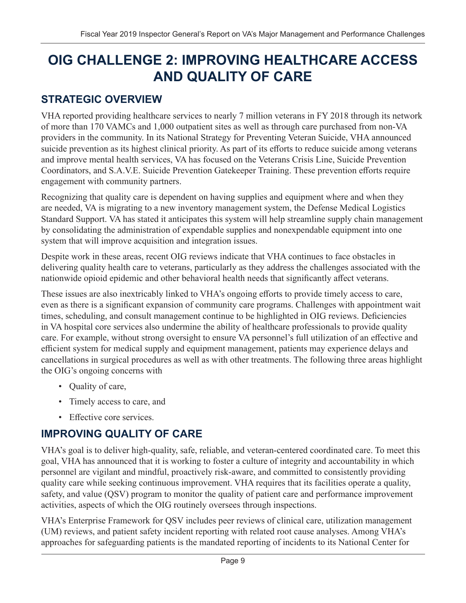# <span id="page-12-0"></span>**OIG CHALLENGE 2: IMPROVING HEALTHCARE ACCESS AND QUALITY OF CARE**

### **STRATEGIC OVERVIEW**

VHA reported providing healthcare services to nearly 7 million veterans in FY 2018 through its network of more than 170 VAMCs and 1,000 outpatient sites as well as through care purchased from non-VA providers in the community. In its National Strategy for Preventing Veteran Suicide, VHA announced suicide prevention as its highest clinical priority. As part of its efforts to reduce suicide among veterans and improve mental health services, VA has focused on the Veterans Crisis Line, Suicide Prevention Coordinators, and S.A.V.E. Suicide Prevention Gatekeeper Training. These prevention efforts require engagement with community partners.

Recognizing that quality care is dependent on having supplies and equipment where and when they are needed, VA is migrating to a new inventory management system, the Defense Medical Logistics Standard Support. VA has stated it anticipates this system will help streamline supply chain management by consolidating the administration of expendable supplies and nonexpendable equipment into one system that will improve acquisition and integration issues.

Despite work in these areas, recent OIG reviews indicate that VHA continues to face obstacles in delivering quality health care to veterans, particularly as they address the challenges associated with the nationwide opioid epidemic and other behavioral health needs that significantly affect veterans.

These issues are also inextricably linked to VHA's ongoing efforts to provide timely access to care, even as there is a significant expansion of community care programs. Challenges with appointment wait times, scheduling, and consult management continue to be highlighted in OIG reviews. Deficiencies in VA hospital core services also undermine the ability of healthcare professionals to provide quality care. For example, without strong oversight to ensure VA personnel's full utilization of an effective and efficient system for medical supply and equipment management, patients may experience delays and cancellations in surgical procedures as well as with other treatments. The following three areas highlight the OIG's ongoing concerns with

- Quality of care,
- Timely access to care, and
- Effective core services.

## **IMPROVING QUALITY OF CARE**

VHA's goal is to deliver high-quality, safe, reliable, and veteran-centered coordinated care. To meet this goal, VHA has announced that it is working to foster a culture of integrity and accountability in which personnel are vigilant and mindful, proactively risk-aware, and committed to consistently providing quality care while seeking continuous improvement. VHA requires that its facilities operate a quality, safety, and value (QSV) program to monitor the quality of patient care and performance improvement activities, aspects of which the OIG routinely oversees through inspections.

VHA's Enterprise Framework for QSV includes peer reviews of clinical care, utilization management (UM) reviews, and patient safety incident reporting with related root cause analyses. Among VHA's approaches for safeguarding patients is the mandated reporting of incidents to its National Center for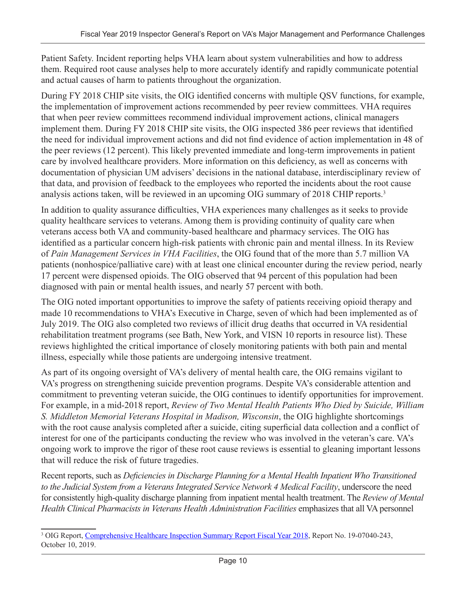Patient Safety. Incident reporting helps VHA learn about system vulnerabilities and how to address them. Required root cause analyses help to more accurately identify and rapidly communicate potential and actual causes of harm to patients throughout the organization.

During FY 2018 CHIP site visits, the OIG identified concerns with multiple QSV functions, for example, the implementation of improvement actions recommended by peer review committees. VHA requires that when peer review committees recommend individual improvement actions, clinical managers implement them. During FY 2018 CHIP site visits, the OIG inspected 386 peer reviews that identified the need for individual improvement actions and did not find evidence of action implementation in 48 of the peer reviews (12 percent). This likely prevented immediate and long-term improvements in patient care by involved healthcare providers. More information on this deficiency, as well as concerns with documentation of physician UM advisers' decisions in the national database, interdisciplinary review of that data, and provision of feedback to the employees who reported the incidents about the root cause analysis actions taken, will be reviewed in an upcoming OIG summary of 2018 CHIP reports.<sup>3</sup>

In addition to quality assurance difficulties, VHA experiences many challenges as it seeks to provide quality healthcare services to veterans. Among them is providing continuity of quality care when veterans access both VA and community-based healthcare and pharmacy services. The OIG has identified as a particular concern high-risk patients with chronic pain and mental illness. In its Review of *Pain Management Services in VHA Facilities*, the OIG found that of the more than 5.7 million VA patients (nonhospice/palliative care) with at least one clinical encounter during the review period, nearly 17 percent were dispensed opioids. The OIG observed that 94 percent of this population had been diagnosed with pain or mental health issues, and nearly 57 percent with both.

The OIG noted important opportunities to improve the safety of patients receiving opioid therapy and made 10 recommendations to VHA's Executive in Charge, seven of which had been implemented as of July 2019. The OIG also completed two reviews of illicit drug deaths that occurred in VA residential rehabilitation treatment programs (see Bath, New York, and VISN 10 reports in resource list). These reviews highlighted the critical importance of closely monitoring patients with both pain and mental illness, especially while those patients are undergoing intensive treatment.

As part of its ongoing oversight of VA's delivery of mental health care, the OIG remains vigilant to VA's progress on strengthening suicide prevention programs. Despite VA's considerable attention and commitment to preventing veteran suicide, the OIG continues to identify opportunities for improvement. For example, in a mid-2018 report, *Review of Two Mental Health Patients Who Died by Suicide, William S. Middleton Memorial Veterans Hospital in Madison, Wisconsin*, the OIG highlighte shortcomings with the root cause analysis completed after a suicide, citing superficial data collection and a conflict of interest for one of the participants conducting the review who was involved in the veteran's care. VA's ongoing work to improve the rigor of these root cause reviews is essential to gleaning important lessons that will reduce the risk of future tragedies.

Recent reports, such as *Deficiencies in Discharge Planning for a Mental Health Inpatient Who Transitioned to the Judicial System from a Veterans Integrated Service Network 4 Medical Facility*, underscore the need for consistently high-quality discharge planning from inpatient mental health treatment. The *Review of Mental Health Clinical Pharmacists in Veterans Health Administration Facilities* emphasizes that all VA personnel

<sup>&</sup>lt;sup>3</sup> OIG Report, [Comprehensive Healthcare Inspection Summary Report Fiscal Year 2018](https://www.va.gov/oig/pubs/VAOIG-19-07040-243.pdf), Report No. 19-07040-243, October 10, 2019.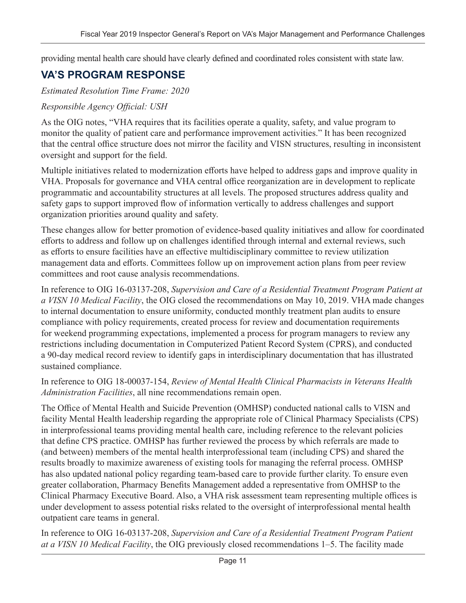providing mental health care should have clearly defined and coordinated roles consistent with state law.

### **VA'S PROGRAM RESPONSE**

*Estimated Resolution Time Frame: 2020*

#### *Responsible Agency Official: USH*

As the OIG notes, "VHA requires that its facilities operate a quality, safety, and value program to monitor the quality of patient care and performance improvement activities." It has been recognized that the central office structure does not mirror the facility and VISN structures, resulting in inconsistent oversight and support for the field.

Multiple initiatives related to modernization efforts have helped to address gaps and improve quality in VHA. Proposals for governance and VHA central office reorganization are in development to replicate programmatic and accountability structures at all levels. The proposed structures address quality and safety gaps to support improved flow of information vertically to address challenges and support organization priorities around quality and safety.

These changes allow for better promotion of evidence-based quality initiatives and allow for coordinated efforts to address and follow up on challenges identified through internal and external reviews, such as efforts to ensure facilities have an effective multidisciplinary committee to review utilization management data and efforts. Committees follow up on improvement action plans from peer review committees and root cause analysis recommendations.

In reference to OIG 16-03137-208, *Supervision and Care of a Residential Treatment Program Patient at a VISN 10 Medical Facility*, the OIG closed the recommendations on May 10, 2019. VHA made changes to internal documentation to ensure uniformity, conducted monthly treatment plan audits to ensure compliance with policy requirements, created process for review and documentation requirements for weekend programming expectations, implemented a process for program managers to review any restrictions including documentation in Computerized Patient Record System (CPRS), and conducted a 90-day medical record review to identify gaps in interdisciplinary documentation that has illustrated sustained compliance.

#### In reference to OIG 18-00037-154, *Review of Mental Health Clinical Pharmacists in Veterans Health Administration Facilities*, all nine recommendations remain open.

The Office of Mental Health and Suicide Prevention (OMHSP) conducted national calls to VISN and facility Mental Health leadership regarding the appropriate role of Clinical Pharmacy Specialists (CPS) in interprofessional teams providing mental health care, including reference to the relevant policies that define CPS practice. OMHSP has further reviewed the process by which referrals are made to (and between) members of the mental health interprofessional team (including CPS) and shared the results broadly to maximize awareness of existing tools for managing the referral process. OMHSP has also updated national policy regarding team-based care to provide further clarity. To ensure even greater collaboration, Pharmacy Benefits Management added a representative from OMHSP to the Clinical Pharmacy Executive Board. Also, a VHA risk assessment team representing multiple offices is under development to assess potential risks related to the oversight of interprofessional mental health outpatient care teams in general.

In reference to OIG 16-03137-208, *Supervision and Care of a Residential Treatment Program Patient at a VISN 10 Medical Facility*, the OIG previously closed recommendations 1–5. The facility made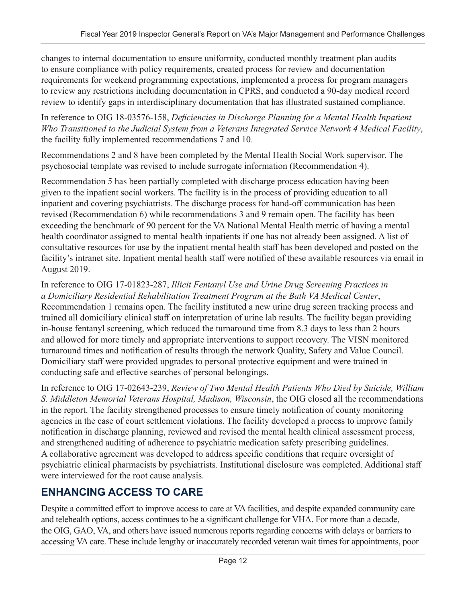changes to internal documentation to ensure uniformity, conducted monthly treatment plan audits to ensure compliance with policy requirements, created process for review and documentation requirements for weekend programming expectations, implemented a process for program managers to review any restrictions including documentation in CPRS, and conducted a 90-day medical record review to identify gaps in interdisciplinary documentation that has illustrated sustained compliance.

In reference to OIG 18-03576-158, *Deficiencies in Discharge Planning for a Mental Health Inpatient Who Transitioned to the Judicial System from a Veterans Integrated Service Network 4 Medical Facility*, the facility fully implemented recommendations 7 and 10.

Recommendations 2 and 8 have been completed by the Mental Health Social Work supervisor. The psychosocial template was revised to include surrogate information (Recommendation 4).

Recommendation 5 has been partially completed with discharge process education having been given to the inpatient social workers. The facility is in the process of providing education to all inpatient and covering psychiatrists. The discharge process for hand-off communication has been revised (Recommendation 6) while recommendations 3 and 9 remain open. The facility has been exceeding the benchmark of 90 percent for the VA National Mental Health metric of having a mental health coordinator assigned to mental health inpatients if one has not already been assigned. A list of consultative resources for use by the inpatient mental health staff has been developed and posted on the facility's intranet site. Inpatient mental health staff were notified of these available resources via email in August 2019.

In reference to OIG 17-01823-287, *Illicit Fentanyl Use and Urine Drug Screening Practices in a Domiciliary Residential Rehabilitation Treatment Program at the Bath VA Medical Center*, Recommendation 1 remains open. The facility instituted a new urine drug screen tracking process and trained all domiciliary clinical staff on interpretation of urine lab results. The facility began providing in-house fentanyl screening, which reduced the turnaround time from 8.3 days to less than 2 hours and allowed for more timely and appropriate interventions to support recovery. The VISN monitored turnaround times and notification of results through the network Quality, Safety and Value Council. Domiciliary staff were provided upgrades to personal protective equipment and were trained in conducting safe and effective searches of personal belongings.

In reference to OIG 17-02643-239, *Review of Two Mental Health Patients Who Died by Suicide, William S. Middleton Memorial Veterans Hospital, Madison, Wisconsin*, the OIG closed all the recommendations in the report. The facility strengthened processes to ensure timely notification of county monitoring agencies in the case of court settlement violations. The facility developed a process to improve family notification in discharge planning, reviewed and revised the mental health clinical assessment process, and strengthened auditing of adherence to psychiatric medication safety prescribing guidelines. A collaborative agreement was developed to address specific conditions that require oversight of psychiatric clinical pharmacists by psychiatrists. Institutional disclosure was completed. Additional staff were interviewed for the root cause analysis.

#### **ENHANCING ACCESS TO CARE**

Despite a committed effort to improve access to care at VA facilities, and despite expanded community care and telehealth options, access continues to be a significant challenge for VHA. For more than a decade, the OIG, GAO, VA, and others have issued numerous reports regarding concerns with delays or barriers to accessing VA care. These include lengthy or inaccurately recorded veteran wait times for appointments, poor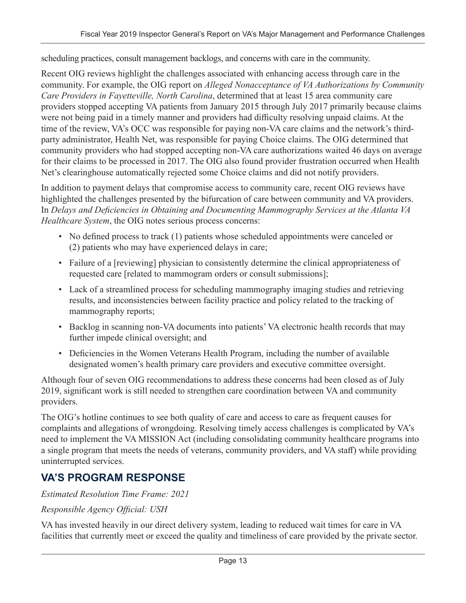scheduling practices, consult management backlogs, and concerns with care in the community.

Recent OIG reviews highlight the challenges associated with enhancing access through care in the community. For example, the OIG report on *Alleged Nonacceptance of VA Authorizations by Community Care Providers in Fayetteville, North Carolina*, determined that at least 15 area community care providers stopped accepting VA patients from January 2015 through July 2017 primarily because claims were not being paid in a timely manner and providers had difficulty resolving unpaid claims. At the time of the review, VA's OCC was responsible for paying non-VA care claims and the network's thirdparty administrator, Health Net, was responsible for paying Choice claims. The OIG determined that community providers who had stopped accepting non-VA care authorizations waited 46 days on average for their claims to be processed in 2017. The OIG also found provider frustration occurred when Health Net's clearinghouse automatically rejected some Choice claims and did not notify providers.

In addition to payment delays that compromise access to community care, recent OIG reviews have highlighted the challenges presented by the bifurcation of care between community and VA providers. In *Delays and Deficiencies in Obtaining and Documenting Mammography Services at the Atlanta VA Healthcare System*, the OIG notes serious process concerns:

- No defined process to track (1) patients whose scheduled appointments were canceled or (2) patients who may have experienced delays in care;
- Failure of a [reviewing] physician to consistently determine the clinical appropriateness of requested care [related to mammogram orders or consult submissions];
- Lack of a streamlined process for scheduling mammography imaging studies and retrieving results, and inconsistencies between facility practice and policy related to the tracking of mammography reports;
- Backlog in scanning non-VA documents into patients' VA electronic health records that may further impede clinical oversight; and
- Deficiencies in the Women Veterans Health Program, including the number of available designated women's health primary care providers and executive committee oversight.

Although four of seven OIG recommendations to address these concerns had been closed as of July 2019, significant work is still needed to strengthen care coordination between VA and community providers.

The OIG's hotline continues to see both quality of care and access to care as frequent causes for complaints and allegations of wrongdoing. Resolving timely access challenges is complicated by VA's need to implement the VA MISSION Act (including consolidating community healthcare programs into a single program that meets the needs of veterans, community providers, and VA staff) while providing uninterrupted services.

### **VA'S PROGRAM RESPONSE**

*Estimated Resolution Time Frame: 2021*

#### *Responsible Agency Official: USH*

VA has invested heavily in our direct delivery system, leading to reduced wait times for care in VA facilities that currently meet or exceed the quality and timeliness of care provided by the private sector.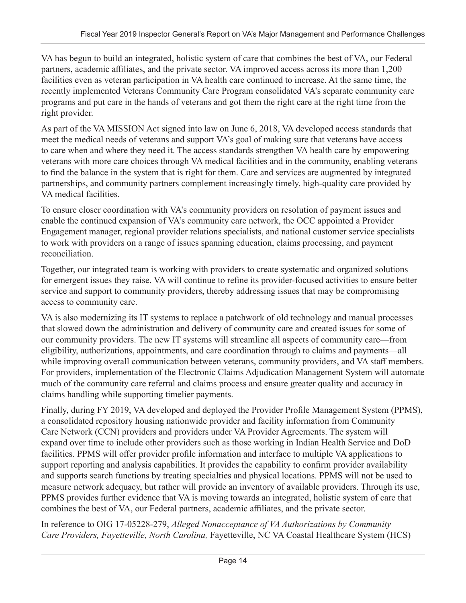VA has begun to build an integrated, holistic system of care that combines the best of VA, our Federal partners, academic affiliates, and the private sector. VA improved access across its more than 1,200 facilities even as veteran participation in VA health care continued to increase. At the same time, the recently implemented Veterans Community Care Program consolidated VA's separate community care programs and put care in the hands of veterans and got them the right care at the right time from the right provider.

As part of the VA MISSION Act signed into law on June 6, 2018, VA developed access standards that meet the medical needs of veterans and support VA's goal of making sure that veterans have access to care when and where they need it. The access standards strengthen VA health care by empowering veterans with more care choices through VA medical facilities and in the community, enabling veterans to find the balance in the system that is right for them. Care and services are augmented by integrated partnerships, and community partners complement increasingly timely, high-quality care provided by VA medical facilities.

To ensure closer coordination with VA's community providers on resolution of payment issues and enable the continued expansion of VA's community care network, the OCC appointed a Provider Engagement manager, regional provider relations specialists, and national customer service specialists to work with providers on a range of issues spanning education, claims processing, and payment reconciliation.

Together, our integrated team is working with providers to create systematic and organized solutions for emergent issues they raise. VA will continue to refine its provider-focused activities to ensure better service and support to community providers, thereby addressing issues that may be compromising access to community care.

VA is also modernizing its IT systems to replace a patchwork of old technology and manual processes that slowed down the administration and delivery of community care and created issues for some of our community providers. The new IT systems will streamline all aspects of community care—from eligibility, authorizations, appointments, and care coordination through to claims and payments—all while improving overall communication between veterans, community providers, and VA staff members. For providers, implementation of the Electronic Claims Adjudication Management System will automate much of the community care referral and claims process and ensure greater quality and accuracy in claims handling while supporting timelier payments.

Finally, during FY 2019, VA developed and deployed the Provider Profile Management System (PPMS), a consolidated repository housing nationwide provider and facility information from Community Care Network (CCN) providers and providers under VA Provider Agreements. The system will expand over time to include other providers such as those working in Indian Health Service and DoD facilities. PPMS will offer provider profile information and interface to multiple VA applications to support reporting and analysis capabilities. It provides the capability to confirm provider availability and supports search functions by treating specialties and physical locations. PPMS will not be used to measure network adequacy, but rather will provide an inventory of available providers. Through its use, PPMS provides further evidence that VA is moving towards an integrated, holistic system of care that combines the best of VA, our Federal partners, academic affiliates, and the private sector.

In reference to OIG 17-05228-279, *Alleged Nonacceptance of VA Authorizations by Community Care Providers, Fayetteville, North Carolina,* Fayetteville, NC VA Coastal Healthcare System (HCS)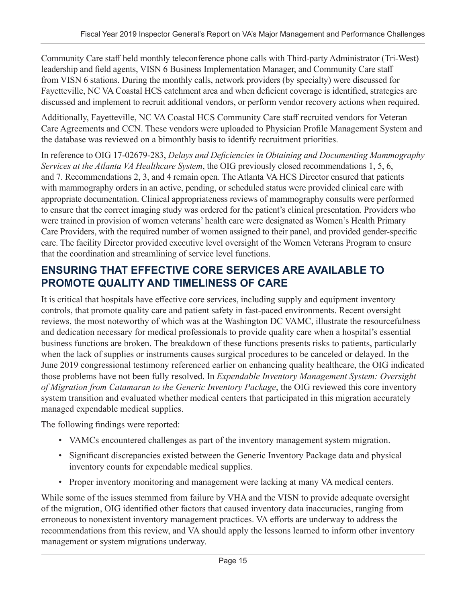Community Care staff held monthly teleconference phone calls with Third-party Administrator (Tri-West) leadership and field agents, VISN 6 Business Implementation Manager, and Community Care staff from VISN 6 stations. During the monthly calls, network providers (by specialty) were discussed for Fayetteville, NC VA Coastal HCS catchment area and when deficient coverage is identified, strategies are discussed and implement to recruit additional vendors, or perform vendor recovery actions when required.

Additionally, Fayetteville, NC VA Coastal HCS Community Care staff recruited vendors for Veteran Care Agreements and CCN. These vendors were uploaded to Physician Profile Management System and the database was reviewed on a bimonthly basis to identify recruitment priorities.

In reference to OIG 17-02679-283, *Delays and Deficiencies in Obtaining and Documenting Mammography Services at the Atlanta VA Healthcare System*, the OIG previously closed recommendations 1, 5, 6, and 7. Recommendations 2, 3, and 4 remain open. The Atlanta VA HCS Director ensured that patients with mammography orders in an active, pending, or scheduled status were provided clinical care with appropriate documentation. Clinical appropriateness reviews of mammography consults were performed to ensure that the correct imaging study was ordered for the patient's clinical presentation. Providers who were trained in provision of women veterans' health care were designated as Women's Health Primary Care Providers, with the required number of women assigned to their panel, and provided gender-specific care. The facility Director provided executive level oversight of the Women Veterans Program to ensure that the coordination and streamlining of service level functions.

#### **ENSURING THAT EFFECTIVE CORE SERVICES ARE AVAILABLE TO PROMOTE QUALITY AND TIMELINESS OF CARE**

It is critical that hospitals have effective core services, including supply and equipment inventory controls, that promote quality care and patient safety in fast-paced environments. Recent oversight reviews, the most noteworthy of which was at the Washington DC VAMC, illustrate the resourcefulness and dedication necessary for medical professionals to provide quality care when a hospital's essential business functions are broken. The breakdown of these functions presents risks to patients, particularly when the lack of supplies or instruments causes surgical procedures to be canceled or delayed. In the June 2019 congressional testimony referenced earlier on enhancing quality healthcare, the OIG indicated those problems have not been fully resolved. In *Expendable Inventory Management System: Oversight of Migration from Catamaran to the Generic Inventory Package*, the OIG reviewed this core inventory system transition and evaluated whether medical centers that participated in this migration accurately managed expendable medical supplies.

The following findings were reported:

- VAMCs encountered challenges as part of the inventory management system migration.
- Significant discrepancies existed between the Generic Inventory Package data and physical inventory counts for expendable medical supplies.
- Proper inventory monitoring and management were lacking at many VA medical centers.

While some of the issues stemmed from failure by VHA and the VISN to provide adequate oversight of the migration, OIG identified other factors that caused inventory data inaccuracies, ranging from erroneous to nonexistent inventory management practices. VA efforts are underway to address the recommendations from this review, and VA should apply the lessons learned to inform other inventory management or system migrations underway.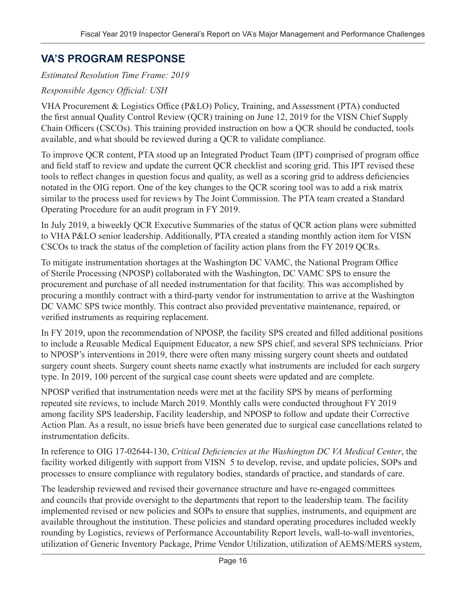### **VA'S PROGRAM RESPONSE**

*Estimated Resolution Time Frame: 2019* 

#### *Responsible Agency Official: USH*

VHA Procurement & Logistics Office (P&LO) Policy, Training, and Assessment (PTA) conducted the first annual Quality Control Review (QCR) training on June 12, 2019 for the VISN Chief Supply Chain Officers (CSCOs). This training provided instruction on how a QCR should be conducted, tools available, and what should be reviewed during a QCR to validate compliance.

To improve QCR content, PTA stood up an Integrated Product Team (IPT) comprised of program office and field staff to review and update the current QCR checklist and scoring grid. This IPT revised these tools to reflect changes in question focus and quality, as well as a scoring grid to address deficiencies notated in the OIG report. One of the key changes to the QCR scoring tool was to add a risk matrix similar to the process used for reviews by The Joint Commission. The PTA team created a Standard Operating Procedure for an audit program in FY 2019.

In July 2019, a biweekly QCR Executive Summaries of the status of QCR action plans were submitted to VHA P&LO senior leadership. Additionally, PTA created a standing monthly action item for VISN CSCOs to track the status of the completion of facility action plans from the FY 2019 QCRs.

To mitigate instrumentation shortages at the Washington DC VAMC, the National Program Office of Sterile Processing (NPOSP) collaborated with the Washington, DC VAMC SPS to ensure the procurement and purchase of all needed instrumentation for that facility. This was accomplished by procuring a monthly contract with a third-party vendor for instrumentation to arrive at the Washington DC VAMC SPS twice monthly. This contract also provided preventative maintenance, repaired, or verified instruments as requiring replacement.

In FY 2019, upon the recommendation of NPOSP, the facility SPS created and filled additional positions to include a Reusable Medical Equipment Educator, a new SPS chief, and several SPS technicians. Prior to NPOSP's interventions in 2019, there were often many missing surgery count sheets and outdated surgery count sheets. Surgery count sheets name exactly what instruments are included for each surgery type. In 2019, 100 percent of the surgical case count sheets were updated and are complete.

NPOSP verified that instrumentation needs were met at the facility SPS by means of performing repeated site reviews, to include March 2019. Monthly calls were conducted throughout FY 2019 among facility SPS leadership, Facility leadership, and NPOSP to follow and update their Corrective Action Plan. As a result, no issue briefs have been generated due to surgical case cancellations related to instrumentation deficits.

In reference to OIG 17-02644-130, *Critical Deficiencies at the Washington DC VA Medical Center*, the facility worked diligently with support from VISN 5 to develop, revise, and update policies, SOPs and processes to ensure compliance with regulatory bodies, standards of practice, and standards of care.

The leadership reviewed and revised their governance structure and have re-engaged committees and councils that provide oversight to the departments that report to the leadership team. The facility implemented revised or new policies and SOPs to ensure that supplies, instruments, and equipment are available throughout the institution. These policies and standard operating procedures included weekly rounding by Logistics, reviews of Performance Accountability Report levels, wall-to-wall inventories, utilization of Generic Inventory Package, Prime Vendor Utilization, utilization of AEMS/MERS system,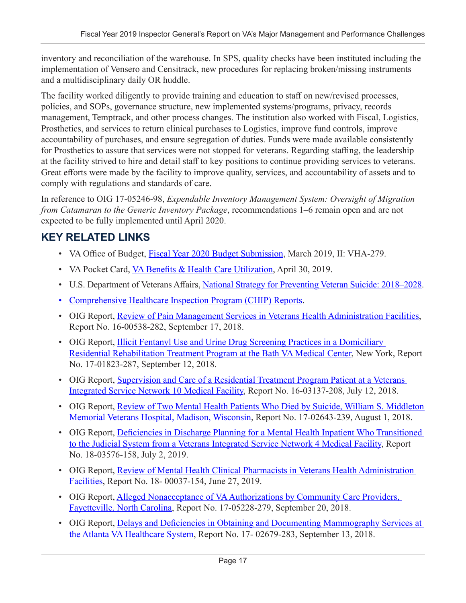inventory and reconciliation of the warehouse. In SPS, quality checks have been instituted including the implementation of Vensero and Censitrack, new procedures for replacing broken/missing instruments and a multidisciplinary daily OR huddle.

The facility worked diligently to provide training and education to staff on new/revised processes, policies, and SOPs, governance structure, new implemented systems/programs, privacy, records management, Temptrack, and other process changes. The institution also worked with Fiscal, Logistics, Prosthetics, and services to return clinical purchases to Logistics, improve fund controls, improve accountability of purchases, and ensure segregation of duties. Funds were made available consistently for Prosthetics to assure that services were not stopped for veterans. Regarding staffing, the leadership at the facility strived to hire and detail staff to key positions to continue providing services to veterans. Great efforts were made by the facility to improve quality, services, and accountability of assets and to comply with regulations and standards of care.

In reference to OIG 17-05246-98, *Expendable Inventory Management System: Oversight of Migration from Catamaran to the Generic Inventory Package*, recommendations 1–6 remain open and are not expected to be fully implemented until April 2020.

## **KEY RELATED LINKS**

- VA Office of Budget, [Fiscal Year 2020 Budget Submission](https://www.va.gov/budget/docs/summary/archive/FY-2020-VA-BudgetSubmission.zip), March 2019, II: VHA-279.
- VA Pocket Card, [VA Benefits & Health](https://www.va.gov/vetdata/docs/pocketcards/fy2019q3.pdf) Care [Utilization](https://www.va.gov/vetdata/docs/pocketcards/fy2019q3.pdf), April 30, 2019.
- U.S. Department of Veterans Affairs, [National Strategy for Preventing Veteran Suicide: 2018–2028](https://www.mentalhealth.va.gov/suicide_prevention/docs/Office-of-Mental-Health-and-Suicide-Prevention-National-Strategy-for-Preventing-Veterans-Suicide.pdf).
- [Comprehensive Healthcare Inspection](https://www.va.gov/oig/apps/info/OversightReports.aspx?RET=CHIP%2BReviews&RPP=10&RS=1) [Program \(CHIP\) Reports.](https://www.va.gov/oig/apps/info/OversightReports.aspx?RET=CHIP%2BReviews&RPP=10&RS=1)
- OIG Report, [Review of Pain Management Services in Veterans Health Administration Facilities](https://www.va.gov/oig/pubs/VAOIG-16-00538-282.pdf), Report No. 16-00538-282, September 17, 2018.
- OIG Report, **Illicit Fentanyl Use and Urine Drug Screening Practices in a Domiciliary** [Residential Rehabilitation Treatment Program at the Bath VA Medical Center, New York,](https://www.va.gov/oig/pubs/VAOIG-17-01823-287.pdf) Report No. 17-01823-287, September 12, 2018.
- OIG Report, [Supervision and Care of a Residential Treatment Program Patient](https://www.va.gov/oig/pubs/VAOIG-16-03137-208.pdf) at a Veterans [Integrated Service Network 10 Medical Facility](https://www.va.gov/oig/pubs/VAOIG-16-03137-208.pdf), Report No. 16-03137-208, July 12, 2018.
- OIG Report, Review of Two Mental Health Patients Who Died by Suicide, William S. Middleton [Memorial Veterans Hospital, Madison, Wisconsin](https://www.va.gov/oig/pubs/VAOIG-17-02643-239.pdf), Report No. 17-02643-239, August 1, 2018.
- OIG Report, Deficiencies in Discharge Planning for a Mental Health Inpatient Who Transitioned [to the Judicial System from a Veterans Integrated Service Network 4 Medical Facility](https://www.va.gov/oig/pubs/VAOIG-18-03576-158.pdf), Report No. 18-03576-158, July 2, 2019.
- OIG Report, Review of Mental Health Clinical Pharmacists in Veterans Health Administration [Facilities](https://www.va.gov/oig/pubs/VAOIG-18-00037-154.pdf), Report No. 18- 00037-154, June 27, 2019.
- OIG Report, [Alleged Nonacceptance of](https://www.va.gov/oig/pubs/VAOIG-17-05228-279.pdf) VA Authorizations by Community Care Providers, [Fayetteville, North Carolina](https://www.va.gov/oig/pubs/VAOIG-17-05228-279.pdf), Report No. 17-05228-279, September 20, 2018.
- OIG Report, Delays and Deficiencies in Obtaining and Documenting Mammography Services at [the Atlanta](https://www.va.gov/oig/pubs/VAOIG-17-02679-283.pdf) [VA Healthcare System](https://www.va.gov/oig/pubs/VAOIG-17-02679-283.pdf), Report No. 17- 02679-283, September 13, 2018.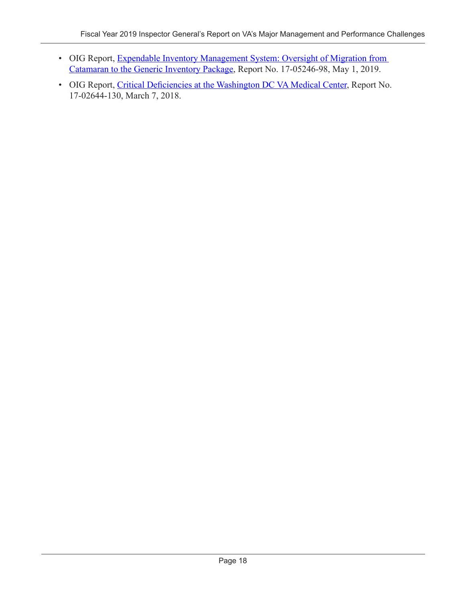- OIG Report, Expendable Inventory Management System: Oversight of Migration from [Catamaran to the Generic Inventory Package,](https://www.va.gov/oig/pubs/VAOIG-17-05246-98.pdf) Report No. 17-05246-98, May 1, 2019.
- OIG Report, [Critical Deficiencies at the Washington DC VA Medical Center](http://www.va.gov/oig/pubs/VAOIG-17-02644-130.pdf), Report No. 17-02644-130, March 7, 2018.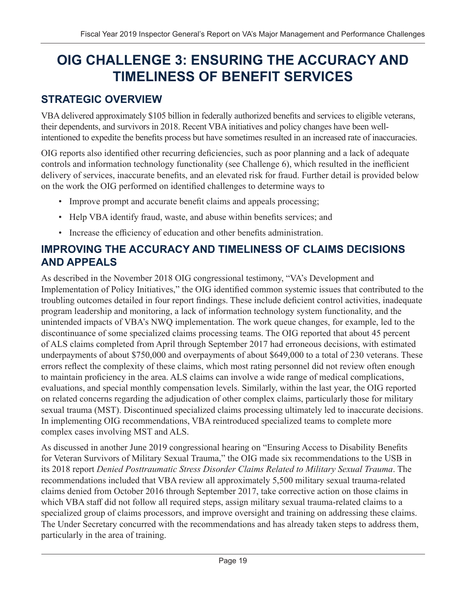# <span id="page-22-0"></span>**OIG CHALLENGE 3: ENSURING THE ACCURACY AND TIMELINESS OF BENEFIT SERVICES**

### **STRATEGIC OVERVIEW**

VBA delivered approximately \$105 billion in federally authorized benefits and services to eligible veterans, their dependents, and survivors in 2018. Recent VBA initiatives and policy changes have been wellintentioned to expedite the benefits process but have sometimes resulted in an increased rate of inaccuracies.

OIG reports also identified other recurring deficiencies, such as poor planning and a lack of adequate controls and information technology functionality (see Challenge 6), which resulted in the inefficient delivery of services, inaccurate benefits, and an elevated risk for fraud. Further detail is provided below on the work the OIG performed on identified challenges to determine ways to

- Improve prompt and accurate benefit claims and appeals processing;
- Help VBA identify fraud, waste, and abuse within benefits services; and
- Increase the efficiency of education and other benefits administration.

#### **IMPROVING THE ACCURACY AND TIMELINESS OF CLAIMS DECISIONS AND APPEALS**

As described in the November 2018 OIG congressional testimony, "VA's Development and Implementation of Policy Initiatives," the OIG identified common systemic issues that contributed to the troubling outcomes detailed in four report findings. These include deficient control activities, inadequate program leadership and monitoring, a lack of information technology system functionality, and the unintended impacts of VBA's NWQ implementation. The work queue changes, for example, led to the discontinuance of some specialized claims processing teams. The OIG reported that about 45 percent of ALS claims completed from April through September 2017 had erroneous decisions, with estimated underpayments of about \$750,000 and overpayments of about \$649,000 to a total of 230 veterans. These errors reflect the complexity of these claims, which most rating personnel did not review often enough to maintain proficiency in the area. ALS claims can involve a wide range of medical complications, evaluations, and special monthly compensation levels. Similarly, within the last year, the OIG reported on related concerns regarding the adjudication of other complex claims, particularly those for military sexual trauma (MST). Discontinued specialized claims processing ultimately led to inaccurate decisions. In implementing OIG recommendations, VBA reintroduced specialized teams to complete more complex cases involving MST and ALS.

As discussed in another June 2019 congressional hearing on "Ensuring Access to Disability Benefits for Veteran Survivors of Military Sexual Trauma," the OIG made six recommendations to the USB in its 2018 report *Denied Posttraumatic Stress Disorder Claims Related to Military Sexual Trauma*. The recommendations included that VBA review all approximately 5,500 military sexual trauma-related claims denied from October 2016 through September 2017, take corrective action on those claims in which VBA staff did not follow all required steps, assign military sexual trauma-related claims to a specialized group of claims processors, and improve oversight and training on addressing these claims. The Under Secretary concurred with the recommendations and has already taken steps to address them, particularly in the area of training.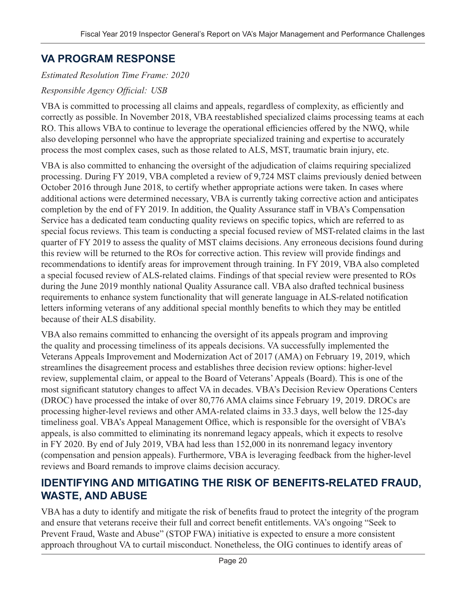### **VA PROGRAM RESPONSE**

*Estimated Resolution Time Frame: 2020*

#### *Responsible Agency Official: USB*

VBA is committed to processing all claims and appeals, regardless of complexity, as efficiently and correctly as possible. In November 2018, VBA reestablished specialized claims processing teams at each RO. This allows VBA to continue to leverage the operational efficiencies offered by the NWQ, while also developing personnel who have the appropriate specialized training and expertise to accurately process the most complex cases, such as those related to ALS, MST, traumatic brain injury, etc.

VBA is also committed to enhancing the oversight of the adjudication of claims requiring specialized processing. During FY 2019, VBA completed a review of 9,724 MST claims previously denied between October 2016 through June 2018, to certify whether appropriate actions were taken. In cases where additional actions were determined necessary, VBA is currently taking corrective action and anticipates completion by the end of FY 2019. In addition, the Quality Assurance staff in VBA's Compensation Service has a dedicated team conducting quality reviews on specific topics, which are referred to as special focus reviews. This team is conducting a special focused review of MST-related claims in the last quarter of FY 2019 to assess the quality of MST claims decisions. Any erroneous decisions found during this review will be returned to the ROs for corrective action. This review will provide findings and recommendations to identify areas for improvement through training. In FY 2019, VBA also completed a special focused review of ALS-related claims. Findings of that special review were presented to ROs during the June 2019 monthly national Quality Assurance call. VBA also drafted technical business requirements to enhance system functionality that will generate language in ALS-related notification letters informing veterans of any additional special monthly benefits to which they may be entitled because of their ALS disability.

VBA also remains committed to enhancing the oversight of its appeals program and improving the quality and processing timeliness of its appeals decisions. VA successfully implemented the Veterans Appeals Improvement and Modernization Act of 2017 (AMA) on February 19, 2019, which streamlines the disagreement process and establishes three decision review options: higher-level review, supplemental claim, or appeal to the Board of Veterans' Appeals (Board). This is one of the most significant statutory changes to affect VA in decades. VBA's Decision Review Operations Centers (DROC) have processed the intake of over 80,776 AMA claims since February 19, 2019. DROCs are processing higher-level reviews and other AMA-related claims in 33.3 days, well below the 125-day timeliness goal. VBA's Appeal Management Office, which is responsible for the oversight of VBA's appeals, is also committed to eliminating its nonremand legacy appeals, which it expects to resolve in FY 2020. By end of July 2019, VBA had less than 152,000 in its nonremand legacy inventory (compensation and pension appeals). Furthermore, VBA is leveraging feedback from the higher-level reviews and Board remands to improve claims decision accuracy.

#### **IDENTIFYING AND MITIGATING THE RISK OF BENEFITS-RELATED FRAUD, WASTE, AND ABUSE**

VBA has a duty to identify and mitigate the risk of benefits fraud to protect the integrity of the program and ensure that veterans receive their full and correct benefit entitlements. VA's ongoing "Seek to Prevent Fraud, Waste and Abuse" (STOP FWA) initiative is expected to ensure a more consistent approach throughout VA to curtail misconduct. Nonetheless, the OIG continues to identify areas of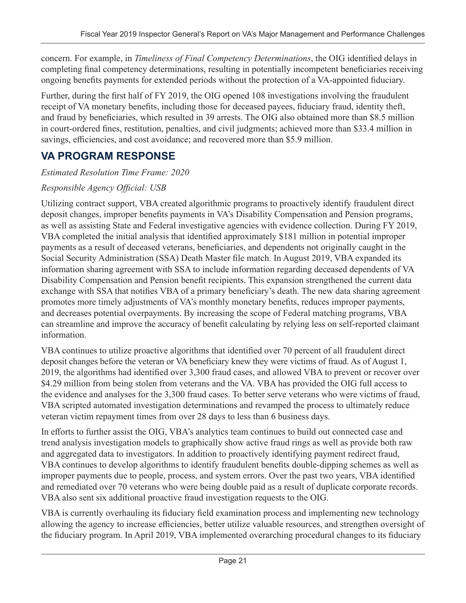concern. For example, in *Timeliness of Final Competency Determinations*, the OIG identified delays in completing final competency determinations, resulting in potentially incompetent beneficiaries receiving ongoing benefits payments for extended periods without the protection of a VA-appointed fiduciary.

Further, during the first half of FY 2019, the OIG opened 108 investigations involving the fraudulent receipt of VA monetary benefits, including those for deceased payees, fiduciary fraud, identity theft, and fraud by beneficiaries, which resulted in 39 arrests. The OIG also obtained more than \$8.5 million in court-ordered fines, restitution, penalties, and civil judgments; achieved more than \$33.4 million in savings, efficiencies, and cost avoidance; and recovered more than \$5.9 million.

### **VA PROGRAM RESPONSE**

#### *Estimated Resolution Time Frame: 2020*

#### *Responsible Agency Official: USB*

Utilizing contract support, VBA created algorithmic programs to proactively identify fraudulent direct deposit changes, improper benefits payments in VA's Disability Compensation and Pension programs, as well as assisting State and Federal investigative agencies with evidence collection. During FY 2019, VBA completed the initial analysis that identified approximately \$181 million in potential improper payments as a result of deceased veterans, beneficiaries, and dependents not originally caught in the Social Security Administration (SSA) Death Master file match. In August 2019, VBA expanded its information sharing agreement with SSA to include information regarding deceased dependents of VA Disability Compensation and Pension benefit recipients. This expansion strengthened the current data exchange with SSA that notifies VBA of a primary beneficiary's death. The new data sharing agreement promotes more timely adjustments of VA's monthly monetary benefits, reduces improper payments, and decreases potential overpayments. By increasing the scope of Federal matching programs, VBA can streamline and improve the accuracy of benefit calculating by relying less on self-reported claimant information.

VBA continues to utilize proactive algorithms that identified over 70 percent of all fraudulent direct deposit changes before the veteran or VA beneficiary knew they were victims of fraud. As of August 1, 2019, the algorithms had identified over 3,300 fraud cases, and allowed VBA to prevent or recover over \$4.29 million from being stolen from veterans and the VA. VBA has provided the OIG full access to the evidence and analyses for the 3,300 fraud cases. To better serve veterans who were victims of fraud, VBA scripted automated investigation determinations and revamped the process to ultimately reduce veteran victim repayment times from over 28 days to less than 6 business days.

In efforts to further assist the OIG, VBA's analytics team continues to build out connected case and trend analysis investigation models to graphically show active fraud rings as well as provide both raw and aggregated data to investigators. In addition to proactively identifying payment redirect fraud, VBA continues to develop algorithms to identify fraudulent benefits double-dipping schemes as well as improper payments due to people, process, and system errors. Over the past two years, VBA identified and remediated over 70 veterans who were being double paid as a result of duplicate corporate records. VBA also sent six additional proactive fraud investigation requests to the OIG.

VBA is currently overhauling its fiduciary field examination process and implementing new technology allowing the agency to increase efficiencies, better utilize valuable resources, and strengthen oversight of the fiduciary program. In April 2019, VBA implemented overarching procedural changes to its fiduciary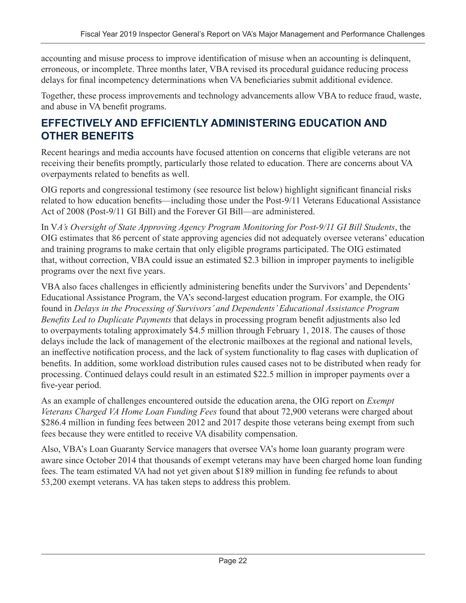accounting and misuse process to improve identification of misuse when an accounting is delinquent, erroneous, or incomplete. Three months later, VBA revised its procedural guidance reducing process delays for final incompetency determinations when VA beneficiaries submit additional evidence.

Together, these process improvements and technology advancements allow VBA to reduce fraud, waste, and abuse in VA benefit programs.

### **EFFECTIVELY AND EFFICIENTLY ADMINISTERING EDUCATION AND OTHER BENEFITS**

Recent hearings and media accounts have focused attention on concerns that eligible veterans are not receiving their benefits promptly, particularly those related to education. There are concerns about VA overpayments related to benefits as well.

OIG reports and congressional testimony (see resource list below) highlight significant financial risks related to how education benefits—including those under the Post-9/11 Veterans Educational Assistance Act of 2008 (Post-9/11 GI Bill) and the Forever GI Bill—are administered.

In V*A's Oversight of State Approving Agency Program Monitoring for Post-9/11 GI Bill Students*, the OIG estimates that 86 percent of state approving agencies did not adequately oversee veterans' education and training programs to make certain that only eligible programs participated. The OIG estimated that, without correction, VBA could issue an estimated \$2.3 billion in improper payments to ineligible programs over the next five years.

VBA also faces challenges in efficiently administering benefits under the Survivors' and Dependents' Educational Assistance Program, the VA's second-largest education program. For example, the OIG found in *Delays in the Processing of Survivors' and Dependents' Educational Assistance Program Benefits Led to Duplicate Payments* that delays in processing program benefit adjustments also led to overpayments totaling approximately \$4.5 million through February 1, 2018. The causes of those delays include the lack of management of the electronic mailboxes at the regional and national levels, an ineffective notification process, and the lack of system functionality to flag cases with duplication of benefits. In addition, some workload distribution rules caused cases not to be distributed when ready for processing. Continued delays could result in an estimated \$22.5 million in improper payments over a five-year period.

As an example of challenges encountered outside the education arena, the OIG report on *Exempt Veterans Charged VA Home Loan Funding Fees* found that about 72,900 veterans were charged about \$286.4 million in funding fees between 2012 and 2017 despite those veterans being exempt from such fees because they were entitled to receive VA disability compensation.

Also, VBA's Loan Guaranty Service managers that oversee VA's home loan guaranty program were aware since October 2014 that thousands of exempt veterans may have been charged home loan funding fees. The team estimated VA had not yet given about \$189 million in funding fee refunds to about 53,200 exempt veterans. VA has taken steps to address this problem.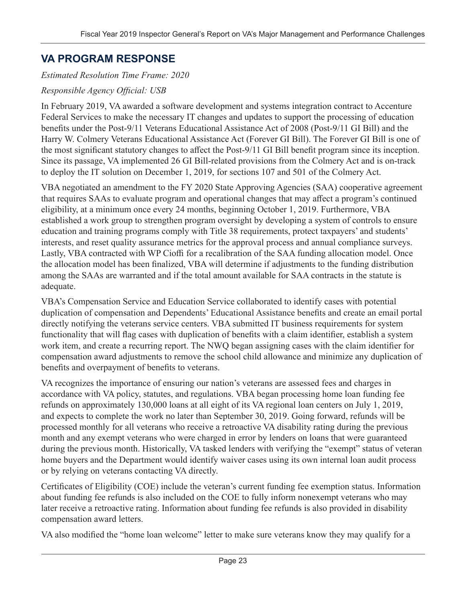### **VA PROGRAM RESPONSE**

*Estimated Resolution Time Frame: 2020*

#### *Responsible Agency Official: USB*

In February 2019, VA awarded a software development and systems integration contract to Accenture Federal Services to make the necessary IT changes and updates to support the processing of education benefits under the Post-9/11 Veterans Educational Assistance Act of 2008 (Post-9/11 GI Bill) and the Harry W. Colmery Veterans Educational Assistance Act (Forever GI Bill). The Forever GI Bill is one of the most significant statutory changes to affect the Post-9/11 GI Bill benefit program since its inception. Since its passage, VA implemented 26 GI Bill-related provisions from the Colmery Act and is on-track to deploy the IT solution on December 1, 2019, for sections 107 and 501 of the Colmery Act.

VBA negotiated an amendment to the FY 2020 State Approving Agencies (SAA) cooperative agreement that requires SAAs to evaluate program and operational changes that may affect a program's continued eligibility, at a minimum once every 24 months, beginning October 1, 2019. Furthermore, VBA established a work group to strengthen program oversight by developing a system of controls to ensure education and training programs comply with Title 38 requirements, protect taxpayers' and students' interests, and reset quality assurance metrics for the approval process and annual compliance surveys. Lastly, VBA contracted with WP Cioffi for a recalibration of the SAA funding allocation model. Once the allocation model has been finalized, VBA will determine if adjustments to the funding distribution among the SAAs are warranted and if the total amount available for SAA contracts in the statute is adequate.

VBA's Compensation Service and Education Service collaborated to identify cases with potential duplication of compensation and Dependents' Educational Assistance benefits and create an email portal directly notifying the veterans service centers. VBA submitted IT business requirements for system functionality that will flag cases with duplication of benefits with a claim identifier, establish a system work item, and create a recurring report. The NWQ began assigning cases with the claim identifier for compensation award adjustments to remove the school child allowance and minimize any duplication of benefits and overpayment of benefits to veterans.

VA recognizes the importance of ensuring our nation's veterans are assessed fees and charges in accordance with VA policy, statutes, and regulations. VBA began processing home loan funding fee refunds on approximately 130,000 loans at all eight of its VA regional loan centers on July 1, 2019, and expects to complete the work no later than September 30, 2019. Going forward, refunds will be processed monthly for all veterans who receive a retroactive VA disability rating during the previous month and any exempt veterans who were charged in error by lenders on loans that were guaranteed during the previous month. Historically, VA tasked lenders with verifying the "exempt" status of veteran home buyers and the Department would identify waiver cases using its own internal loan audit process or by relying on veterans contacting VA directly.

Certificates of Eligibility (COE) include the veteran's current funding fee exemption status. Information about funding fee refunds is also included on the COE to fully inform nonexempt veterans who may later receive a retroactive rating. Information about funding fee refunds is also provided in disability compensation award letters.

VA also modified the "home loan welcome" letter to make sure veterans know they may qualify for a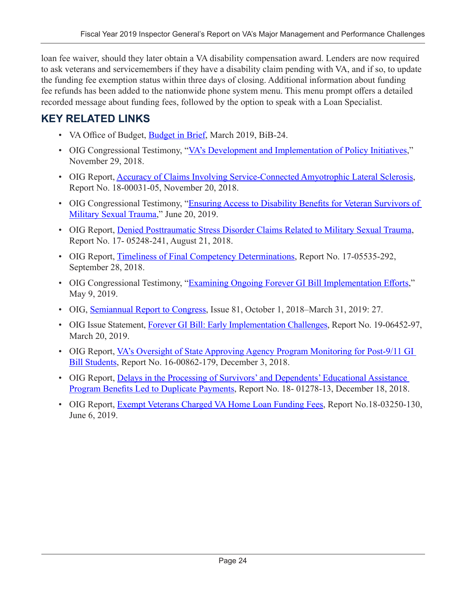loan fee waiver, should they later obtain a VA disability compensation award. Lenders are now required to ask veterans and servicemembers if they have a disability claim pending with VA, and if so, to update the funding fee exemption status within three days of closing. Additional information about funding fee refunds has been added to the nationwide phone system menu. This menu prompt offers a detailed recorded message about funding fees, followed by the option to speak with a Loan Specialist.

### **KEY RELATED LINKS**

- VA Office of Budget, [Budget in Brief,](https://www.va.gov/budget/docs/summary/archive/FY-2020-VA-BudgetSubmission.zip) March 2019, BiB-24.
- OIG Congressional Testimony, "[VA's](https://www.va.gov/oig/pubs/statements/VAOIG-statement-20181129-missal.pdf) [Development and Implementation of Policy Initiatives](https://www.va.gov/oig/pubs/statements/VAOIG-statement-20181129-missal.pdf)," November 29, 2018.
- OIG Report, [Accuracy of Claims Involving Service-Connected Amyotrophic Lateral Sclerosis](https://www.va.gov/oig/pubs/VAOIG-18-00031-05.pdf), Report No. 18-00031-05, November 20, 2018.
- OIG Congressional Testimony, "[Ensuring Access to Disability Benefits for Veteran Survivors of](https://www.va.gov/oig/pubs/statements/VAOIG-statement-20190620-bracci.pdf)  [Military Sexual Trauma," J](https://www.va.gov/oig/pubs/statements/VAOIG-statement-20190620-bracci.pdf)une 20, 2019.
- OIG Report, [Denied Posttraumatic Stress Disorder Claims Related to Military Sexual Trauma](https://www.va.gov/oig/pubs/VAOIG-17-05248-241.pdf), Report No. 17- 05248-241, August 21, 2018.
- OIG Report, [Timeliness of Final Competency Determinations](https://www.va.gov/oig/pubs/VAOIG-17-05535-292.pdf), Report No. 17-05535-292, September 28, 2018.
- OIG Congressional Testimony, "[Examining Ongoing Forever GI Bill Implementation Efforts](https://www.va.gov/oig/pubs/statements/VAOIG-statement-20190509-missal.pdf)," May 9, 2019.
- OIG, [Semiannual Report to Congress, Issue 81](https://www.va.gov/oig/pubs/sars/vaoig-sar-2019-1.pdf), October 1, 2018–March 31, 2019: 27.
- OIG Issue Statement, [Forever GI Bill: Early Implementation Challenges](https://www.va.gov/oig/pubs/VAOIG-19-06452-97.pdf), Report No. 19-06452-97, March 20, 2019.
- OIG Report, VA's Oversight of State Approving Agency Program Monitoring for Post-9/11 GI [Bill Students](https://www.va.gov/oig/pubs/VAOIG-16-00862-179.pdf), Report No. 16-00862-179, December 3, 2018.
- OIG Report, Delays in the Processing of Survivors' and Dependents' Educational Assistance [Program Benefits Led to Duplicate Payments](https://www.va.gov/oig/pubs/VAOIG-18-01278-13.pdf), Report No. 18- 01278-13, December 18, 2018.
- OIG Report, [Exempt Veterans Charged VA Home Loan Funding Fees,](https://www.va.gov/oig/pubs/VAOIG-18-03250-130.pdf) Report No.18-03250-130, June 6, 2019.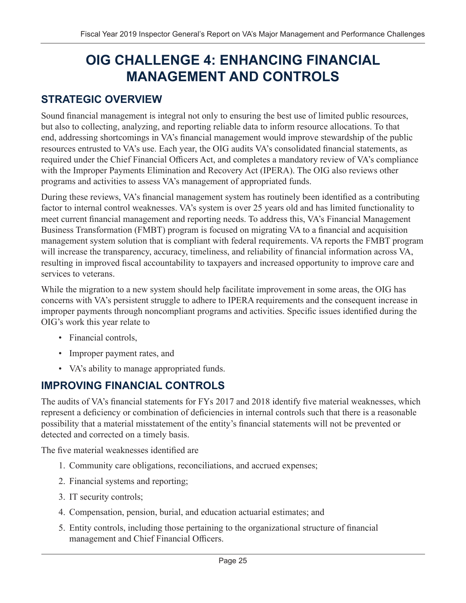# <span id="page-28-0"></span>**OIG CHALLENGE 4: ENHANCING FINANCIAL MANAGEMENT AND CONTROLS**

### **STRATEGIC OVERVIEW**

Sound financial management is integral not only to ensuring the best use of limited public resources, but also to collecting, analyzing, and reporting reliable data to inform resource allocations. To that end, addressing shortcomings in VA's financial management would improve stewardship of the public resources entrusted to VA's use. Each year, the OIG audits VA's consolidated financial statements, as required under the Chief Financial Officers Act, and completes a mandatory review of VA's compliance with the Improper Payments Elimination and Recovery Act (IPERA). The OIG also reviews other programs and activities to assess VA's management of appropriated funds.

During these reviews, VA's financial management system has routinely been identified as a contributing factor to internal control weaknesses. VA's system is over 25 years old and has limited functionality to meet current financial management and reporting needs. To address this, VA's Financial Management Business Transformation (FMBT) program is focused on migrating VA to a financial and acquisition management system solution that is compliant with federal requirements. VA reports the FMBT program will increase the transparency, accuracy, timeliness, and reliability of financial information across VA, resulting in improved fiscal accountability to taxpayers and increased opportunity to improve care and services to veterans.

While the migration to a new system should help facilitate improvement in some areas, the OIG has concerns with VA's persistent struggle to adhere to IPERA requirements and the consequent increase in improper payments through noncompliant programs and activities. Specific issues identified during the OIG's work this year relate to

- Financial controls,
- Improper payment rates, and
- VA's ability to manage appropriated funds.

### **IMPROVING FINANCIAL CONTROLS**

The audits of VA's financial statements for FYs 2017 and 2018 identify five material weaknesses, which represent a deficiency or combination of deficiencies in internal controls such that there is a reasonable possibility that a material misstatement of the entity's financial statements will not be prevented or detected and corrected on a timely basis.

The five material weaknesses identified are

- 1. Community care obligations, reconciliations, and accrued expenses;
- 2. Financial systems and reporting;
- 3. IT security controls;
- 4. Compensation, pension, burial, and education actuarial estimates; and
- 5. Entity controls, including those pertaining to the organizational structure of financial management and Chief Financial Officers.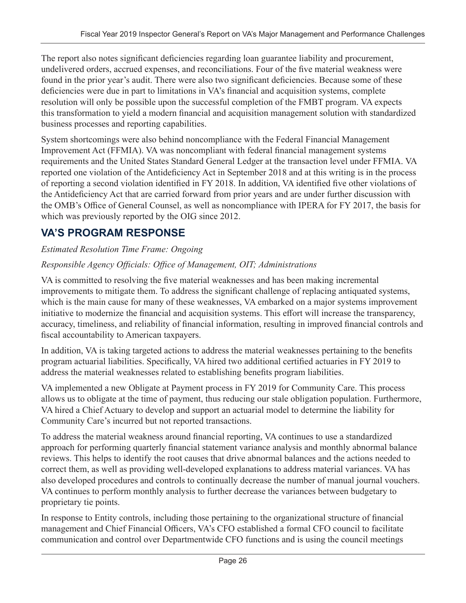The report also notes significant deficiencies regarding loan guarantee liability and procurement, undelivered orders, accrued expenses, and reconciliations. Four of the five material weakness were found in the prior year's audit. There were also two significant deficiencies. Because some of these deficiencies were due in part to limitations in VA's financial and acquisition systems, complete resolution will only be possible upon the successful completion of the FMBT program. VA expects this transformation to yield a modern financial and acquisition management solution with standardized business processes and reporting capabilities.

System shortcomings were also behind noncompliance with the Federal Financial Management Improvement Act (FFMIA). VA was noncompliant with federal financial management systems requirements and the United States Standard General Ledger at the transaction level under FFMIA. VA reported one violation of the Antideficiency Act in September 2018 and at this writing is in the process of reporting a second violation identified in FY 2018. In addition, VA identified five other violations of the Antideficiency Act that are carried forward from prior years and are under further discussion with the OMB's Office of General Counsel, as well as noncompliance with IPERA for FY 2017, the basis for which was previously reported by the OIG since 2012.

### **VA'S PROGRAM RESPONSE**

#### *Estimated Resolution Time Frame: Ongoing*

#### *Responsible Agency Officials: Office of Management, OIT; Administrations*

VA is committed to resolving the five material weaknesses and has been making incremental improvements to mitigate them. To address the significant challenge of replacing antiquated systems, which is the main cause for many of these weaknesses, VA embarked on a major systems improvement initiative to modernize the financial and acquisition systems. This effort will increase the transparency, accuracy, timeliness, and reliability of financial information, resulting in improved financial controls and fiscal accountability to American taxpayers.

In addition, VA is taking targeted actions to address the material weaknesses pertaining to the benefits program actuarial liabilities. Specifically, VA hired two additional certified actuaries in FY 2019 to address the material weaknesses related to establishing benefits program liabilities.

VA implemented a new Obligate at Payment process in FY 2019 for Community Care. This process allows us to obligate at the time of payment, thus reducing our stale obligation population. Furthermore, VA hired a Chief Actuary to develop and support an actuarial model to determine the liability for Community Care's incurred but not reported transactions.

To address the material weakness around financial reporting, VA continues to use a standardized approach for performing quarterly financial statement variance analysis and monthly abnormal balance reviews. This helps to identify the root causes that drive abnormal balances and the actions needed to correct them, as well as providing well-developed explanations to address material variances. VA has also developed procedures and controls to continually decrease the number of manual journal vouchers. VA continues to perform monthly analysis to further decrease the variances between budgetary to proprietary tie points.

In response to Entity controls, including those pertaining to the organizational structure of financial management and Chief Financial Officers, VA's CFO established a formal CFO council to facilitate communication and control over Departmentwide CFO functions and is using the council meetings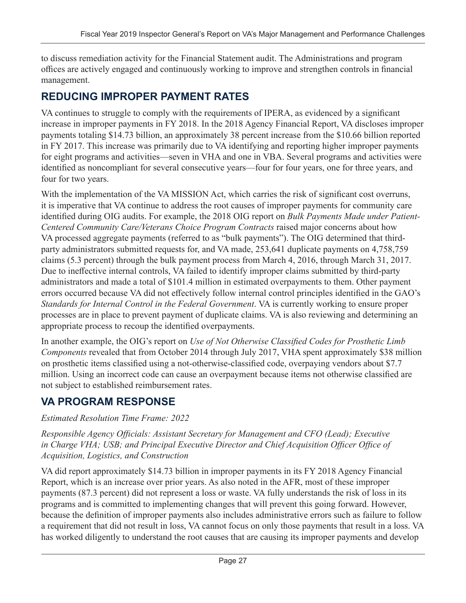to discuss remediation activity for the Financial Statement audit. The Administrations and program offices are actively engaged and continuously working to improve and strengthen controls in financial management.

#### **REDUCING IMPROPER PAYMENT RATES**

VA continues to struggle to comply with the requirements of IPERA, as evidenced by a significant increase in improper payments in FY 2018. In the 2018 Agency Financial Report, VA discloses improper payments totaling \$14.73 billion, an approximately 38 percent increase from the \$10.66 billion reported in FY 2017. This increase was primarily due to VA identifying and reporting higher improper payments for eight programs and activities—seven in VHA and one in VBA. Several programs and activities were identified as noncompliant for several consecutive years—four for four years, one for three years, and four for two years.

With the implementation of the VA MISSION Act, which carries the risk of significant cost overruns, it is imperative that VA continue to address the root causes of improper payments for community care identified during OIG audits. For example, the 2018 OIG report on *Bulk Payments Made under Patient-Centered Community Care/Veterans Choice Program Contracts* raised major concerns about how VA processed aggregate payments (referred to as "bulk payments"). The OIG determined that thirdparty administrators submitted requests for, and VA made, 253,641 duplicate payments on 4,758,759 claims (5.3 percent) through the bulk payment process from March 4, 2016, through March 31, 2017. Due to ineffective internal controls, VA failed to identify improper claims submitted by third-party administrators and made a total of \$101.4 million in estimated overpayments to them. Other payment errors occurred because VA did not effectively follow internal control principles identified in the GAO's *Standards for Internal Control in the Federal Government*. VA is currently working to ensure proper processes are in place to prevent payment of duplicate claims. VA is also reviewing and determining an appropriate process to recoup the identified overpayments.

In another example, the OIG's report on *Use of Not Otherwise Classified Codes for Prosthetic Limb Components* revealed that from October 2014 through July 2017, VHA spent approximately \$38 million on prosthetic items classified using a not-otherwise-classified code, overpaying vendors about \$7.7 million. Using an incorrect code can cause an overpayment because items not otherwise classified are not subject to established reimbursement rates.

#### **VA PROGRAM RESPONSE**

#### *Estimated Resolution Time Frame: 2022*

*Responsible Agency Officials: Assistant Secretary for Management and CFO (Lead); Executive in Charge VHA; USB; and Principal Executive Director and Chief Acquisition Officer Office of Acquisition, Logistics, and Construction*

VA did report approximately \$14.73 billion in improper payments in its FY 2018 Agency Financial Report, which is an increase over prior years. As also noted in the AFR, most of these improper payments (87.3 percent) did not represent a loss or waste. VA fully understands the risk of loss in its programs and is committed to implementing changes that will prevent this going forward. However, because the definition of improper payments also includes administrative errors such as failure to follow a requirement that did not result in loss, VA cannot focus on only those payments that result in a loss. VA has worked diligently to understand the root causes that are causing its improper payments and develop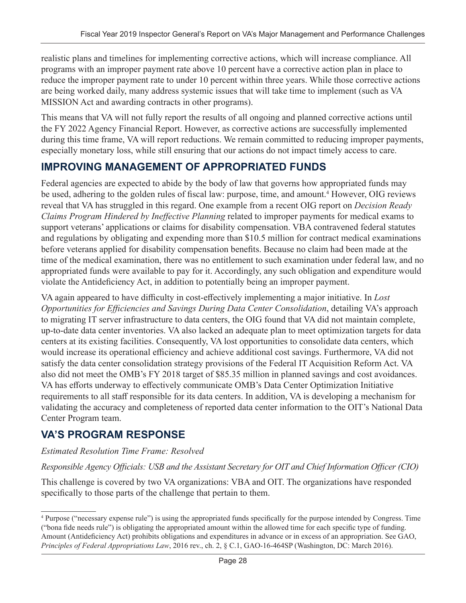realistic plans and timelines for implementing corrective actions, which will increase compliance. All programs with an improper payment rate above 10 percent have a corrective action plan in place to reduce the improper payment rate to under 10 percent within three years. While those corrective actions are being worked daily, many address systemic issues that will take time to implement (such as VA MISSION Act and awarding contracts in other programs).

This means that VA will not fully report the results of all ongoing and planned corrective actions until the FY 2022 Agency Financial Report. However, as corrective actions are successfully implemented during this time frame, VA will report reductions. We remain committed to reducing improper payments, especially monetary loss, while still ensuring that our actions do not impact timely access to care.

#### **IMPROVING MANAGEMENT OF APPROPRIATED FUNDS**

Federal agencies are expected to abide by the body of law that governs how appropriated funds may be used, adhering to the golden rules of fiscal law: purpose, time, and amount.<sup>4</sup> However, OIG reviews reveal that VA has struggled in this regard. One example from a recent OIG report on *Decision Ready Claims Program Hindered by Ineffective Planning* related to improper payments for medical exams to support veterans' applications or claims for disability compensation. VBA contravened federal statutes and regulations by obligating and expending more than \$10.5 million for contract medical examinations before veterans applied for disability compensation benefits. Because no claim had been made at the time of the medical examination, there was no entitlement to such examination under federal law, and no appropriated funds were available to pay for it. Accordingly, any such obligation and expenditure would violate the Antideficiency Act, in addition to potentially being an improper payment.

VA again appeared to have difficulty in cost-effectively implementing a major initiative. In *Lost Opportunities for Efficiencies and Savings During Data Center Consolidation*, detailing VA's approach to migrating IT server infrastructure to data centers, the OIG found that VA did not maintain complete, up-to-date data center inventories. VA also lacked an adequate plan to meet optimization targets for data centers at its existing facilities. Consequently, VA lost opportunities to consolidate data centers, which would increase its operational efficiency and achieve additional cost savings. Furthermore, VA did not satisfy the data center consolidation strategy provisions of the Federal IT Acquisition Reform Act. VA also did not meet the OMB's FY 2018 target of \$85.35 million in planned savings and cost avoidances. VA has efforts underway to effectively communicate OMB's Data Center Optimization Initiative requirements to all staff responsible for its data centers. In addition, VA is developing a mechanism for validating the accuracy and completeness of reported data center information to the OIT's National Data Center Program team.

#### **VA'S PROGRAM RESPONSE**

*Estimated Resolution Time Frame: Resolved*

*Responsible Agency Officials: USB and the Assistant Secretary for OIT and Chief Information Officer (CIO)*

This challenge is covered by two VA organizations: VBA and OIT. The organizations have responded specifically to those parts of the challenge that pertain to them.

<sup>4</sup> Purpose ("necessary expense rule") is using the appropriated funds specifically for the purpose intended by Congress. Time ("bona fide needs rule") is obligating the appropriated amount within the allowed time for each specific type of funding. Amount (Antideficiency Act) prohibits obligations and expenditures in advance or in excess of an appropriation. See GAO, *Principles of Federal Appropriations Law*, 2016 rev., ch. 2, § C.1, GAO-16-464SP (Washington, DC: March 2016).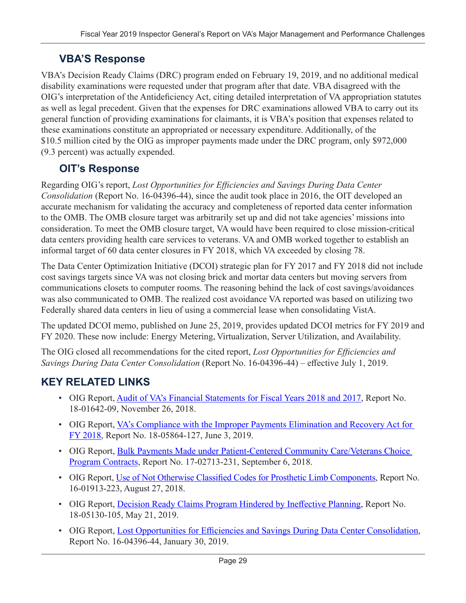### **VBA'S Response**

VBA's Decision Ready Claims (DRC) program ended on February 19, 2019, and no additional medical disability examinations were requested under that program after that date. VBA disagreed with the OIG's interpretation of the Antideficiency Act, citing detailed interpretation of VA appropriation statutes as well as legal precedent. Given that the expenses for DRC examinations allowed VBA to carry out its general function of providing examinations for claimants, it is VBA's position that expenses related to these examinations constitute an appropriated or necessary expenditure. Additionally, of the \$10.5 million cited by the OIG as improper payments made under the DRC program, only \$972,000 (9.3 percent) was actually expended.

### **OIT's Response**

Regarding OIG's report, *Lost Opportunities for Efficiencies and Savings During Data Center Consolidation* (Report No. 16-04396-44), since the audit took place in 2016, the OIT developed an accurate mechanism for validating the accuracy and completeness of reported data center information to the OMB. The OMB closure target was arbitrarily set up and did not take agencies' missions into consideration. To meet the OMB closure target, VA would have been required to close mission-critical data centers providing health care services to veterans. VA and OMB worked together to establish an informal target of 60 data center closures in FY 2018, which VA exceeded by closing 78.

The Data Center Optimization Initiative (DCOI) strategic plan for FY 2017 and FY 2018 did not include cost savings targets since VA was not closing brick and mortar data centers but moving servers from communications closets to computer rooms. The reasoning behind the lack of cost savings/avoidances was also communicated to OMB. The realized cost avoidance VA reported was based on utilizing two Federally shared data centers in lieu of using a commercial lease when consolidating VistA.

The updated DCOI memo, published on June 25, 2019, provides updated DCOI metrics for FY 2019 and FY 2020. These now include: Energy Metering, Virtualization, Server Utilization, and Availability.

The OIG closed all recommendations for the cited report, *Lost Opportunities for Efficiencies and Savings During Data Center Consolidation* (Report No. 16-04396-44) – effective July 1, 2019.

## **KEY RELATED LINKS**

- OIG Report, [Audit of VA's Financial Statements for Fiscal Years 2018 and 2017,](https://www.va.gov/oig/pubs/VAOIG-18-01642-09.pdf) Report No. 18-01642-09, November 26, 2018.
- OIG Report, VA's Compliance with the Improper Payments Elimination and Recovery Act for [FY 2018,](https://www.va.gov/oig/pubs/VAOIG-18-05864-127.pdf) Report No. 18-05864-127, June 3, 2019.
- OIG Report, Bulk Payments Made under Patient-Centered Community Care/Veterans Choice [Program](https://www.va.gov/oig/pubs/VAOIG-17-02713-231.pdf) [Contracts,](https://www.va.gov/oig/pubs/VAOIG-17-02713-231.pdf) Report No. 17-02713-231, September 6, 2018.
- OIG Report, Use [of Not Otherwise Classified Codes for Prosthetic Limb Components](https://www.va.gov/oig/pubs/VAOIG-16-01913-223.pdf), Report No. 16-01913-223, August 27, 2018.
- OIG Report, [Decision Ready Claims Program Hindered by Ineffective Planning](https://www.va.gov/oig/pubs/VAOIG-18-05130-105.pdf), Report No. 18-05130-105, May 21, 2019.
- OIG Report, [Lost Opportunities for Efficiencies and Savings During Data](https://www.va.gov/oig/pubs/VAOIG-16-04396-44.pdf) [Center Consolidation](https://www.va.gov/oig/pubs/VAOIG-16-04396-44.pdf), Report No. 16-04396-44, January 30, 2019.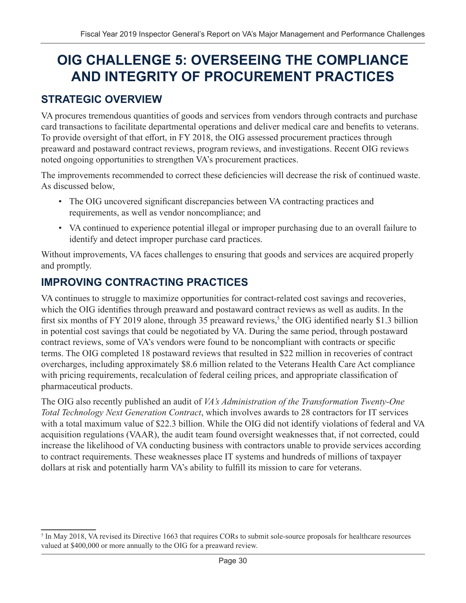# <span id="page-33-0"></span>**OIG CHALLENGE 5: OVERSEEING THE COMPLIANCE AND INTEGRITY OF PROCUREMENT PRACTICES**

## **STRATEGIC OVERVIEW**

VA procures tremendous quantities of goods and services from vendors through contracts and purchase card transactions to facilitate departmental operations and deliver medical care and benefits to veterans. To provide oversight of that effort, in FY 2018, the OIG assessed procurement practices through preaward and postaward contract reviews, program reviews, and investigations. Recent OIG reviews noted ongoing opportunities to strengthen VA's procurement practices.

The improvements recommended to correct these deficiencies will decrease the risk of continued waste. As discussed below,

- The OIG uncovered significant discrepancies between VA contracting practices and requirements, as well as vendor noncompliance; and
- VA continued to experience potential illegal or improper purchasing due to an overall failure to identify and detect improper purchase card practices.

Without improvements, VA faces challenges to ensuring that goods and services are acquired properly and promptly.

### **IMPROVING CONTRACTING PRACTICES**

VA continues to struggle to maximize opportunities for contract-related cost savings and recoveries, which the OIG identifies through preaward and postaward contract reviews as well as audits. In the first six months of FY 2019 alone, through 35 preaward reviews,<sup>5</sup> the OIG identified nearly \$1.3 billion in potential cost savings that could be negotiated by VA. During the same period, through postaward contract reviews, some of VA's vendors were found to be noncompliant with contracts or specific terms. The OIG completed 18 postaward reviews that resulted in \$22 million in recoveries of contract overcharges, including approximately \$8.6 million related to the Veterans Health Care Act compliance with pricing requirements, recalculation of federal ceiling prices, and appropriate classification of pharmaceutical products.

The OIG also recently published an audit of *VA's Administration of the Transformation Twenty-One Total Technology Next Generation Contract*, which involves awards to 28 contractors for IT services with a total maximum value of \$22.3 billion. While the OIG did not identify violations of federal and VA acquisition regulations (VAAR), the audit team found oversight weaknesses that, if not corrected, could increase the likelihood of VA conducting business with contractors unable to provide services according to contract requirements. These weaknesses place IT systems and hundreds of millions of taxpayer dollars at risk and potentially harm VA's ability to fulfill its mission to care for veterans.

<sup>&</sup>lt;sup>5</sup> In May 2018, VA revised its Directive 1663 that requires CORs to submit sole-source proposals for healthcare resources valued at \$400,000 or more annually to the OIG for a preaward review.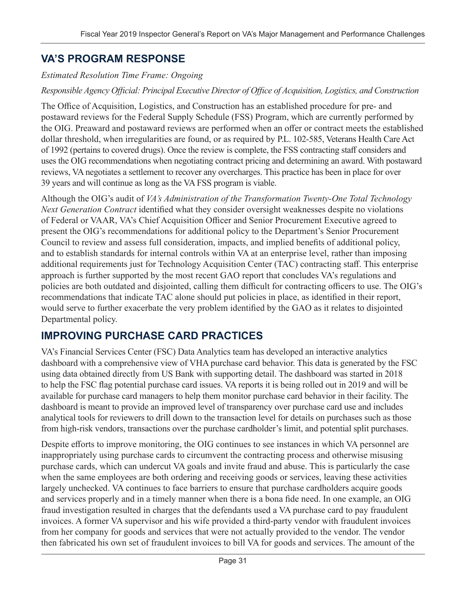### **VA'S PROGRAM RESPONSE**

#### *Estimated Resolution Time Frame: Ongoing*

#### *Responsible Agency Official: Principal Executive Director of Office of Acquisition, Logistics, and Construction*

The Office of Acquisition, Logistics, and Construction has an established procedure for pre- and postaward reviews for the Federal Supply Schedule (FSS) Program, which are currently performed by the OIG. Preaward and postaward reviews are performed when an offer or contract meets the established dollar threshold, when irregularities are found, or as required by P.L. 102-585, Veterans Health Care Act of 1992 (pertains to covered drugs). Once the review is complete, the FSS contracting staff considers and uses the OIG recommendations when negotiating contract pricing and determining an award. With postaward reviews, VA negotiates a settlement to recover any overcharges. This practice has been in place for over 39 years and will continue as long as the VA FSS program is viable.

Although the OIG's audit of *VA's Administration of the Transformation Twenty-One Total Technology Next Generation Contract* identified what they consider oversight weaknesses despite no violations of Federal or VAAR, VA's Chief Acquisition Officer and Senior Procurement Executive agreed to present the OIG's recommendations for additional policy to the Department's Senior Procurement Council to review and assess full consideration, impacts, and implied benefits of additional policy, and to establish standards for internal controls within VA at an enterprise level, rather than imposing additional requirements just for Technology Acquisition Center (TAC) contracting staff. This enterprise approach is further supported by the most recent GAO report that concludes VA's regulations and policies are both outdated and disjointed, calling them difficult for contracting officers to use. The OIG's recommendations that indicate TAC alone should put policies in place, as identified in their report, would serve to further exacerbate the very problem identified by the GAO as it relates to disjointed Departmental policy.

#### **IMPROVING PURCHASE CARD PRACTICES**

VA's Financial Services Center (FSC) Data Analytics team has developed an interactive analytics dashboard with a comprehensive view of VHA purchase card behavior. This data is generated by the FSC using data obtained directly from US Bank with supporting detail. The dashboard was started in 2018 to help the FSC flag potential purchase card issues. VA reports it is being rolled out in 2019 and will be available for purchase card managers to help them monitor purchase card behavior in their facility. The dashboard is meant to provide an improved level of transparency over purchase card use and includes analytical tools for reviewers to drill down to the transaction level for details on purchases such as those from high-risk vendors, transactions over the purchase cardholder's limit, and potential split purchases.

Despite efforts to improve monitoring, the OIG continues to see instances in which VA personnel are inappropriately using purchase cards to circumvent the contracting process and otherwise misusing purchase cards, which can undercut VA goals and invite fraud and abuse. This is particularly the case when the same employees are both ordering and receiving goods or services, leaving these activities largely unchecked. VA continues to face barriers to ensure that purchase cardholders acquire goods and services properly and in a timely manner when there is a bona fide need. In one example, an OIG fraud investigation resulted in charges that the defendants used a VA purchase card to pay fraudulent invoices. A former VA supervisor and his wife provided a third-party vendor with fraudulent invoices from her company for goods and services that were not actually provided to the vendor. The vendor then fabricated his own set of fraudulent invoices to bill VA for goods and services. The amount of the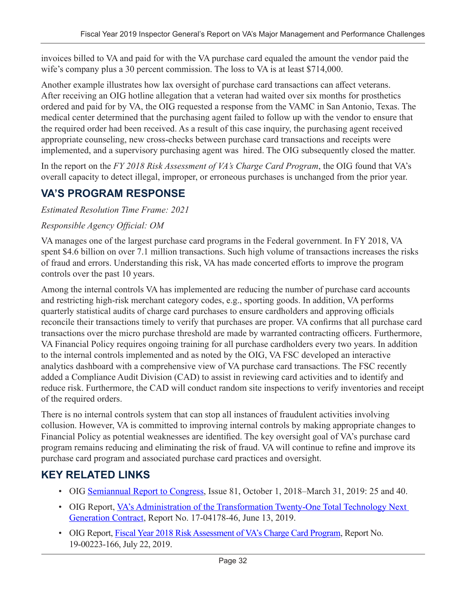invoices billed to VA and paid for with the VA purchase card equaled the amount the vendor paid the wife's company plus a 30 percent commission. The loss to VA is at least \$714,000.

Another example illustrates how lax oversight of purchase card transactions can affect veterans. After receiving an OIG hotline allegation that a veteran had waited over six months for prosthetics ordered and paid for by VA, the OIG requested a response from the VAMC in San Antonio, Texas. The medical center determined that the purchasing agent failed to follow up with the vendor to ensure that the required order had been received. As a result of this case inquiry, the purchasing agent received appropriate counseling, new cross-checks between purchase card transactions and receipts were implemented, and a supervisory purchasing agent was hired. The OIG subsequently closed the matter.

In the report on the *FY 2018 Risk Assessment of VA's Charge Card Program*, the OIG found that VA's overall capacity to detect illegal, improper, or erroneous purchases is unchanged from the prior year.

### **VA'S PROGRAM RESPONSE**

*Estimated Resolution Time Frame: 2021*

#### *Responsible Agency Official: OM*

VA manages one of the largest purchase card programs in the Federal government. In FY 2018, VA spent \$4.6 billion on over 7.1 million transactions. Such high volume of transactions increases the risks of fraud and errors. Understanding this risk, VA has made concerted efforts to improve the program controls over the past 10 years.

Among the internal controls VA has implemented are reducing the number of purchase card accounts and restricting high-risk merchant category codes, e.g., sporting goods. In addition, VA performs quarterly statistical audits of charge card purchases to ensure cardholders and approving officials reconcile their transactions timely to verify that purchases are proper. VA confirms that all purchase card transactions over the micro purchase threshold are made by warranted contracting officers. Furthermore, VA Financial Policy requires ongoing training for all purchase cardholders every two years. In addition to the internal controls implemented and as noted by the OIG, VA FSC developed an interactive analytics dashboard with a comprehensive view of VA purchase card transactions. The FSC recently added a Compliance Audit Division (CAD) to assist in reviewing card activities and to identify and reduce risk. Furthermore, the CAD will conduct random site inspections to verify inventories and receipt of the required orders.

There is no internal controls system that can stop all instances of fraudulent activities involving collusion. However, VA is committed to improving internal controls by making appropriate changes to Financial Policy as potential weaknesses are identified. The key oversight goal of VA's purchase card program remains reducing and eliminating the risk of fraud. VA will continue to refine and improve its purchase card program and associated purchase card practices and oversight.

### **KEY RELATED LINKS**

- OIG [Semiannual Report to Congress, Issue 81](https://www.va.gov/oig/pubs/sars/vaoig-sar-2019-1.pdf), October 1, 2018–March 31, 2019: 25 and 40.
- OIG Report, [VA's Administration of the Transformation Twenty-One Total](https://www.va.gov/oig/pubs/VAOIG-17-04178-46.pdf) Technology Next [Generation Contract](https://www.va.gov/oig/pubs/VAOIG-17-04178-46.pdf), Report No. 17-04178-46, June 13, 2019.
- OIG Report, [Fiscal Year 2018 Risk Assessment of VA's Charge Card Program](https://www.va.gov/oig/pubs/VAOIG-19-00223-166.pdf), Report No. 19-00223-166, July 22, 2019.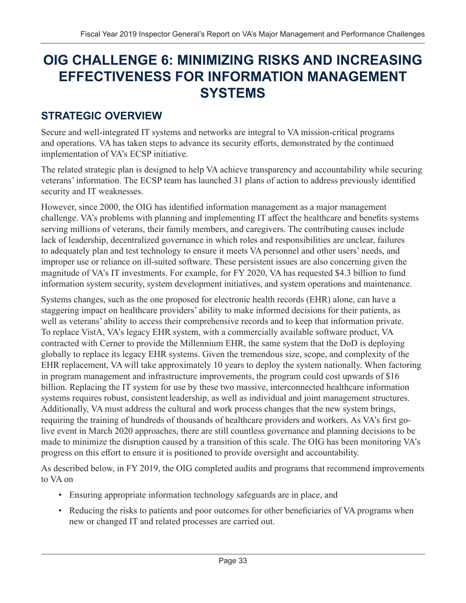# <span id="page-36-0"></span>**OIG CHALLENGE 6: MINIMIZING RISKS AND INCREASING EFFECTIVENESS FOR INFORMATION MANAGEMENT SYSTEMS**

### **STRATEGIC OVERVIEW**

Secure and well-integrated IT systems and networks are integral to VA mission-critical programs and operations. VA has taken steps to advance its security efforts, demonstrated by the continued implementation of VA's ECSP initiative.

The related strategic plan is designed to help VA achieve transparency and accountability while securing veterans' information. The ECSP team has launched 31 plans of action to address previously identified security and IT weaknesses.

However, since 2000, the OIG has identified information management as a major management challenge. VA's problems with planning and implementing IT affect the healthcare and benefits systems serving millions of veterans, their family members, and caregivers. The contributing causes include lack of leadership, decentralized governance in which roles and responsibilities are unclear, failures to adequately plan and test technology to ensure it meets VA personnel and other users' needs, and improper use or reliance on ill-suited software. These persistent issues are also concerning given the magnitude of VA's IT investments. For example, for FY 2020, VA has requested \$4.3 billion to fund information system security, system development initiatives, and system operations and maintenance.

Systems changes, such as the one proposed for electronic health records (EHR) alone, can have a staggering impact on healthcare providers' ability to make informed decisions for their patients, as well as veterans' ability to access their comprehensive records and to keep that information private. To replace VistA, VA's legacy EHR system, with a commercially available software product, VA contracted with Cerner to provide the Millennium EHR, the same system that the DoD is deploying globally to replace its legacy EHR systems. Given the tremendous size, scope, and complexity of the EHR replacement, VA will take approximately 10 years to deploy the system nationally. When factoring in program management and infrastructure improvements, the program could cost upwards of \$16 billion. Replacing the IT system for use by these two massive, interconnected healthcare information systems requires robust, consistent leadership, as well as individual and joint management structures. Additionally, VA must address the cultural and work process changes that the new system brings, requiring the training of hundreds of thousands of healthcare providers and workers. As VA's first golive event in March 2020 approaches, there are still countless governance and planning decisions to be made to minimize the disruption caused by a transition of this scale. The OIG has been monitoring VA's progress on this effort to ensure it is positioned to provide oversight and accountability.

As described below, in FY 2019, the OIG completed audits and programs that recommend improvements to VA on

- Ensuring appropriate information technology safeguards are in place, and
- Reducing the risks to patients and poor outcomes for other beneficiaries of VA programs when new or changed IT and related processes are carried out.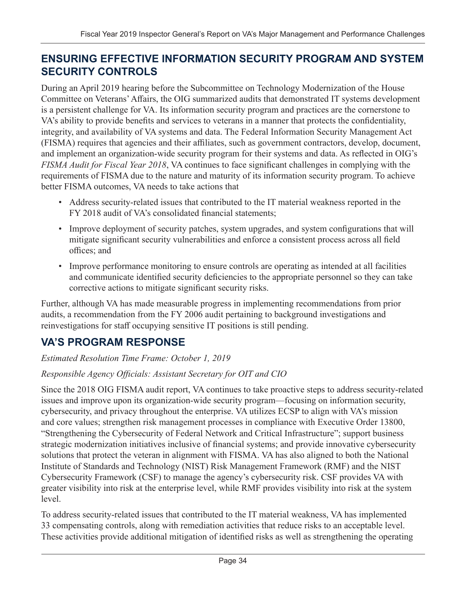#### **ENSURING EFFECTIVE INFORMATION SECURITY PROGRAM AND SYSTEM SECURITY CONTROLS**

During an April 2019 hearing before the Subcommittee on Technology Modernization of the House Committee on Veterans' Affairs, the OIG summarized audits that demonstrated IT systems development is a persistent challenge for VA. Its information security program and practices are the cornerstone to VA's ability to provide benefits and services to veterans in a manner that protects the confidentiality, integrity, and availability of VA systems and data. The Federal Information Security Management Act (FISMA) requires that agencies and their affiliates, such as government contractors, develop, document, and implement an organization-wide security program for their systems and data. As reflected in OIG's *FISMA Audit for Fiscal Year 2018*, VA continues to face significant challenges in complying with the requirements of FISMA due to the nature and maturity of its information security program. To achieve better FISMA outcomes, VA needs to take actions that

- Address security-related issues that contributed to the IT material weakness reported in the FY 2018 audit of VA's consolidated financial statements;
- Improve deployment of security patches, system upgrades, and system configurations that will mitigate significant security vulnerabilities and enforce a consistent process across all field offices; and
- Improve performance monitoring to ensure controls are operating as intended at all facilities and communicate identified security deficiencies to the appropriate personnel so they can take corrective actions to mitigate significant security risks.

Further, although VA has made measurable progress in implementing recommendations from prior audits, a recommendation from the FY 2006 audit pertaining to background investigations and reinvestigations for staff occupying sensitive IT positions is still pending.

## **VA'S PROGRAM RESPONSE**

#### *Estimated Resolution Time Frame: October 1, 2019*

#### *Responsible Agency Officials: Assistant Secretary for OIT and CIO*

Since the 2018 OIG FISMA audit report, VA continues to take proactive steps to address security-related issues and improve upon its organization-wide security program—focusing on information security, cybersecurity, and privacy throughout the enterprise. VA utilizes ECSP to align with VA's mission and core values; strengthen risk management processes in compliance with Executive Order 13800, "Strengthening the Cybersecurity of Federal Network and Critical Infrastructure"; support business strategic modernization initiatives inclusive of financial systems; and provide innovative cybersecurity solutions that protect the veteran in alignment with FISMA. VA has also aligned to both the National Institute of Standards and Technology (NIST) Risk Management Framework (RMF) and the NIST Cybersecurity Framework (CSF) to manage the agency's cybersecurity risk. CSF provides VA with greater visibility into risk at the enterprise level, while RMF provides visibility into risk at the system level.

To address security-related issues that contributed to the IT material weakness, VA has implemented 33 compensating controls, along with remediation activities that reduce risks to an acceptable level. These activities provide additional mitigation of identified risks as well as strengthening the operating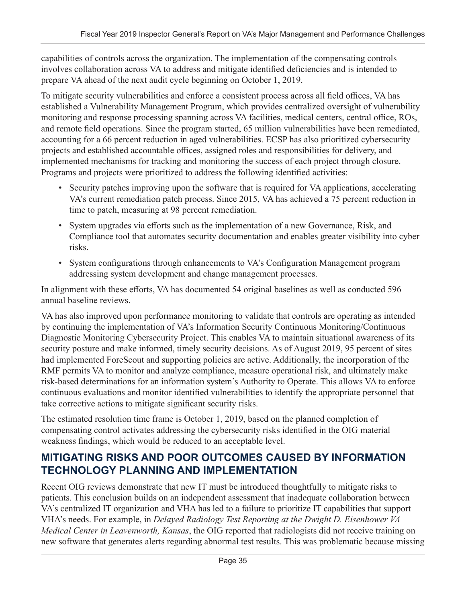capabilities of controls across the organization. The implementation of the compensating controls involves collaboration across VA to address and mitigate identified deficiencies and is intended to prepare VA ahead of the next audit cycle beginning on October 1, 2019.

To mitigate security vulnerabilities and enforce a consistent process across all field offices, VA has established a Vulnerability Management Program, which provides centralized oversight of vulnerability monitoring and response processing spanning across VA facilities, medical centers, central office, ROs, and remote field operations. Since the program started, 65 million vulnerabilities have been remediated, accounting for a 66 percent reduction in aged vulnerabilities. ECSP has also prioritized cybersecurity projects and established accountable offices, assigned roles and responsibilities for delivery, and implemented mechanisms for tracking and monitoring the success of each project through closure. Programs and projects were prioritized to address the following identified activities:

- Security patches improving upon the software that is required for VA applications, accelerating VA's current remediation patch process. Since 2015, VA has achieved a 75 percent reduction in time to patch, measuring at 98 percent remediation.
- System upgrades via efforts such as the implementation of a new Governance, Risk, and Compliance tool that automates security documentation and enables greater visibility into cyber risks.
- System configurations through enhancements to VA's Configuration Management program addressing system development and change management processes.

In alignment with these efforts, VA has documented 54 original baselines as well as conducted 596 annual baseline reviews.

VA has also improved upon performance monitoring to validate that controls are operating as intended by continuing the implementation of VA's Information Security Continuous Monitoring/Continuous Diagnostic Monitoring Cybersecurity Project. This enables VA to maintain situational awareness of its security posture and make informed, timely security decisions. As of August 2019, 95 percent of sites had implemented ForeScout and supporting policies are active. Additionally, the incorporation of the RMF permits VA to monitor and analyze compliance, measure operational risk, and ultimately make risk-based determinations for an information system's Authority to Operate. This allows VA to enforce continuous evaluations and monitor identified vulnerabilities to identify the appropriate personnel that take corrective actions to mitigate significant security risks.

The estimated resolution time frame is October 1, 2019, based on the planned completion of compensating control activates addressing the cybersecurity risks identified in the OIG material weakness findings, which would be reduced to an acceptable level.

#### **MITIGATING RISKS AND POOR OUTCOMES CAUSED BY INFORMATION TECHNOLOGY PLANNING AND IMPLEMENTATION**

Recent OIG reviews demonstrate that new IT must be introduced thoughtfully to mitigate risks to patients. This conclusion builds on an independent assessment that inadequate collaboration between VA's centralized IT organization and VHA has led to a failure to prioritize IT capabilities that support VHA's needs. For example, in *Delayed Radiology Test Reporting at the Dwight D. Eisenhower VA Medical Center in Leavenworth, Kansas*, the OIG reported that radiologists did not receive training on new software that generates alerts regarding abnormal test results. This was problematic because missing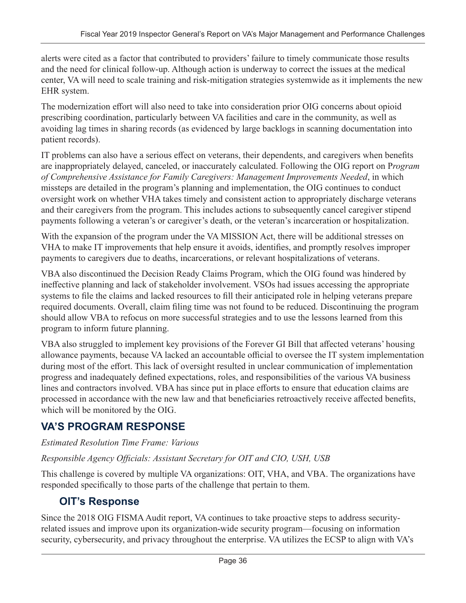alerts were cited as a factor that contributed to providers' failure to timely communicate those results and the need for clinical follow-up. Although action is underway to correct the issues at the medical center, VA will need to scale training and risk-mitigation strategies systemwide as it implements the new EHR system.

The modernization effort will also need to take into consideration prior OIG concerns about opioid prescribing coordination, particularly between VA facilities and care in the community, as well as avoiding lag times in sharing records (as evidenced by large backlogs in scanning documentation into patient records).

IT problems can also have a serious effect on veterans, their dependents, and caregivers when benefits are inappropriately delayed, canceled, or inaccurately calculated. Following the OIG report on P*rogram of Comprehensive Assistance for Family Caregivers: Management Improvements Needed*, in which missteps are detailed in the program's planning and implementation, the OIG continues to conduct oversight work on whether VHA takes timely and consistent action to appropriately discharge veterans and their caregivers from the program. This includes actions to subsequently cancel caregiver stipend payments following a veteran's or caregiver's death, or the veteran's incarceration or hospitalization.

With the expansion of the program under the VA MISSION Act, there will be additional stresses on VHA to make IT improvements that help ensure it avoids, identifies, and promptly resolves improper payments to caregivers due to deaths, incarcerations, or relevant hospitalizations of veterans.

VBA also discontinued the Decision Ready Claims Program, which the OIG found was hindered by ineffective planning and lack of stakeholder involvement. VSOs had issues accessing the appropriate systems to file the claims and lacked resources to fill their anticipated role in helping veterans prepare required documents. Overall, claim filing time was not found to be reduced. Discontinuing the program should allow VBA to refocus on more successful strategies and to use the lessons learned from this program to inform future planning.

VBA also struggled to implement key provisions of the Forever GI Bill that affected veterans' housing allowance payments, because VA lacked an accountable official to oversee the IT system implementation during most of the effort. This lack of oversight resulted in unclear communication of implementation progress and inadequately defined expectations, roles, and responsibilities of the various VA business lines and contractors involved. VBA has since put in place efforts to ensure that education claims are processed in accordance with the new law and that beneficiaries retroactively receive affected benefits, which will be monitored by the OIG.

#### **VA'S PROGRAM RESPONSE**

#### *Estimated Resolution Time Frame: Various*

#### *Responsible Agency Officials: Assistant Secretary for OIT and CIO, USH, USB*

This challenge is covered by multiple VA organizations: OIT, VHA, and VBA. The organizations have responded specifically to those parts of the challenge that pertain to them.

#### **OIT's Response**

Since the 2018 OIG FISMA Audit report, VA continues to take proactive steps to address securityrelated issues and improve upon its organization-wide security program—focusing on information security, cybersecurity, and privacy throughout the enterprise. VA utilizes the ECSP to align with VA's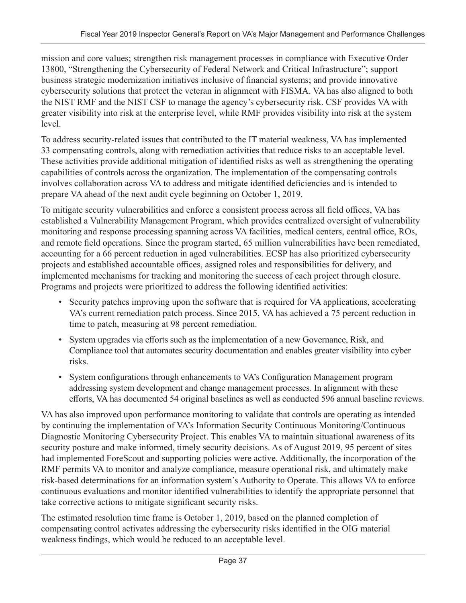mission and core values; strengthen risk management processes in compliance with Executive Order 13800, "Strengthening the Cybersecurity of Federal Network and Critical Infrastructure"; support business strategic modernization initiatives inclusive of financial systems; and provide innovative cybersecurity solutions that protect the veteran in alignment with FISMA. VA has also aligned to both the NIST RMF and the NIST CSF to manage the agency's cybersecurity risk. CSF provides VA with greater visibility into risk at the enterprise level, while RMF provides visibility into risk at the system level.

To address security-related issues that contributed to the IT material weakness, VA has implemented 33 compensating controls, along with remediation activities that reduce risks to an acceptable level. These activities provide additional mitigation of identified risks as well as strengthening the operating capabilities of controls across the organization. The implementation of the compensating controls involves collaboration across VA to address and mitigate identified deficiencies and is intended to prepare VA ahead of the next audit cycle beginning on October 1, 2019.

To mitigate security vulnerabilities and enforce a consistent process across all field offices, VA has established a Vulnerability Management Program, which provides centralized oversight of vulnerability monitoring and response processing spanning across VA facilities, medical centers, central office, ROs, and remote field operations. Since the program started, 65 million vulnerabilities have been remediated, accounting for a 66 percent reduction in aged vulnerabilities. ECSP has also prioritized cybersecurity projects and established accountable offices, assigned roles and responsibilities for delivery, and implemented mechanisms for tracking and monitoring the success of each project through closure. Programs and projects were prioritized to address the following identified activities:

- Security patches improving upon the software that is required for VA applications, accelerating VA's current remediation patch process. Since 2015, VA has achieved a 75 percent reduction in time to patch, measuring at 98 percent remediation.
- System upgrades via efforts such as the implementation of a new Governance, Risk, and Compliance tool that automates security documentation and enables greater visibility into cyber risks.
- System configurations through enhancements to VA's Configuration Management program addressing system development and change management processes. In alignment with these efforts, VA has documented 54 original baselines as well as conducted 596 annual baseline reviews.

VA has also improved upon performance monitoring to validate that controls are operating as intended by continuing the implementation of VA's Information Security Continuous Monitoring/Continuous Diagnostic Monitoring Cybersecurity Project. This enables VA to maintain situational awareness of its security posture and make informed, timely security decisions. As of August 2019, 95 percent of sites had implemented ForeScout and supporting policies were active. Additionally, the incorporation of the RMF permits VA to monitor and analyze compliance, measure operational risk, and ultimately make risk-based determinations for an information system's Authority to Operate. This allows VA to enforce continuous evaluations and monitor identified vulnerabilities to identify the appropriate personnel that take corrective actions to mitigate significant security risks.

The estimated resolution time frame is October 1, 2019, based on the planned completion of compensating control activates addressing the cybersecurity risks identified in the OIG material weakness findings, which would be reduced to an acceptable level.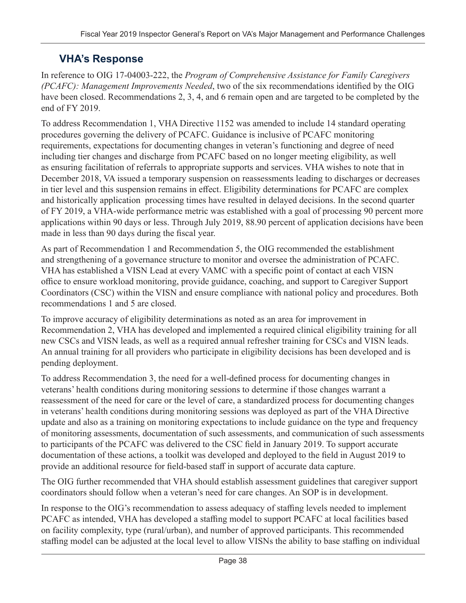### **VHA's Response**

In reference to OIG 17-04003-222, the *Program of Comprehensive Assistance for Family Caregivers (PCAFC): Management Improvements Needed*, two of the six recommendations identified by the OIG have been closed. Recommendations 2, 3, 4, and 6 remain open and are targeted to be completed by the end of FY 2019.

To address Recommendation 1, VHA Directive 1152 was amended to include 14 standard operating procedures governing the delivery of PCAFC. Guidance is inclusive of PCAFC monitoring requirements, expectations for documenting changes in veteran's functioning and degree of need including tier changes and discharge from PCAFC based on no longer meeting eligibility, as well as ensuring facilitation of referrals to appropriate supports and services. VHA wishes to note that in December 2018, VA issued a temporary suspension on reassessments leading to discharges or decreases in tier level and this suspension remains in effect. Eligibility determinations for PCAFC are complex and historically application processing times have resulted in delayed decisions. In the second quarter of FY 2019, a VHA-wide performance metric was established with a goal of processing 90 percent more applications within 90 days or less. Through July 2019, 88.90 percent of application decisions have been made in less than 90 days during the fiscal year.

As part of Recommendation 1 and Recommendation 5, the OIG recommended the establishment and strengthening of a governance structure to monitor and oversee the administration of PCAFC. VHA has established a VISN Lead at every VAMC with a specific point of contact at each VISN office to ensure workload monitoring, provide guidance, coaching, and support to Caregiver Support Coordinators (CSC) within the VISN and ensure compliance with national policy and procedures. Both recommendations 1 and 5 are closed.

To improve accuracy of eligibility determinations as noted as an area for improvement in Recommendation 2, VHA has developed and implemented a required clinical eligibility training for all new CSCs and VISN leads, as well as a required annual refresher training for CSCs and VISN leads. An annual training for all providers who participate in eligibility decisions has been developed and is pending deployment.

To address Recommendation 3, the need for a well-defined process for documenting changes in veterans' health conditions during monitoring sessions to determine if those changes warrant a reassessment of the need for care or the level of care, a standardized process for documenting changes in veterans' health conditions during monitoring sessions was deployed as part of the VHA Directive update and also as a training on monitoring expectations to include guidance on the type and frequency of monitoring assessments, documentation of such assessments, and communication of such assessments to participants of the PCAFC was delivered to the CSC field in January 2019. To support accurate documentation of these actions, a toolkit was developed and deployed to the field in August 2019 to provide an additional resource for field-based staff in support of accurate data capture.

The OIG further recommended that VHA should establish assessment guidelines that caregiver support coordinators should follow when a veteran's need for care changes. An SOP is in development.

In response to the OIG's recommendation to assess adequacy of staffing levels needed to implement PCAFC as intended, VHA has developed a staffing model to support PCAFC at local facilities based on facility complexity, type (rural/urban), and number of approved participants. This recommended staffing model can be adjusted at the local level to allow VISNs the ability to base staffing on individual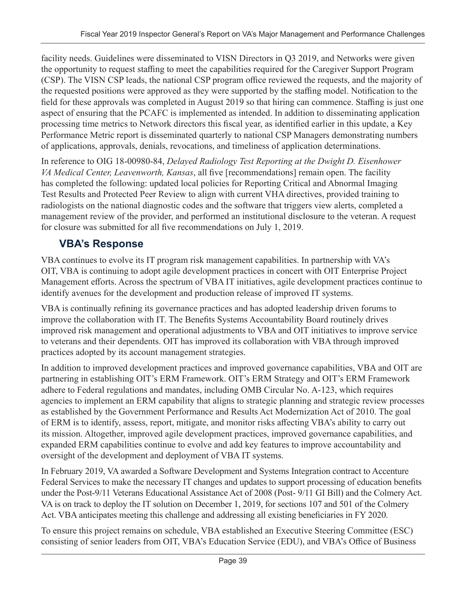facility needs. Guidelines were disseminated to VISN Directors in Q3 2019, and Networks were given the opportunity to request staffing to meet the capabilities required for the Caregiver Support Program (CSP). The VISN CSP leads, the national CSP program office reviewed the requests, and the majority of the requested positions were approved as they were supported by the staffing model. Notification to the field for these approvals was completed in August 2019 so that hiring can commence. Staffing is just one aspect of ensuring that the PCAFC is implemented as intended. In addition to disseminating application processing time metrics to Network directors this fiscal year, as identified earlier in this update, a Key Performance Metric report is disseminated quarterly to national CSP Managers demonstrating numbers of applications, approvals, denials, revocations, and timeliness of application determinations.

In reference to OIG 18-00980-84, *Delayed Radiology Test Reporting at the Dwight D. Eisenhower VA Medical Center, Leavenworth, Kansas*, all five [recommendations] remain open. The facility has completed the following: updated local policies for Reporting Critical and Abnormal Imaging Test Results and Protected Peer Review to align with current VHA directives, provided training to radiologists on the national diagnostic codes and the software that triggers view alerts, completed a management review of the provider, and performed an institutional disclosure to the veteran. A request for closure was submitted for all five recommendations on July 1, 2019.

### **VBA's Response**

VBA continues to evolve its IT program risk management capabilities. In partnership with VA's OIT, VBA is continuing to adopt agile development practices in concert with OIT Enterprise Project Management efforts. Across the spectrum of VBA IT initiatives, agile development practices continue to identify avenues for the development and production release of improved IT systems.

VBA is continually refining its governance practices and has adopted leadership driven forums to improve the collaboration with IT. The Benefits Systems Accountability Board routinely drives improved risk management and operational adjustments to VBA and OIT initiatives to improve service to veterans and their dependents. OIT has improved its collaboration with VBA through improved practices adopted by its account management strategies.

In addition to improved development practices and improved governance capabilities, VBA and OIT are partnering in establishing OIT's ERM Framework. OIT's ERM Strategy and OIT's ERM Framework adhere to Federal regulations and mandates, including OMB Circular No. A-123, which requires agencies to implement an ERM capability that aligns to strategic planning and strategic review processes as established by the Government Performance and Results Act Modernization Act of 2010. The goal of ERM is to identify, assess, report, mitigate, and monitor risks affecting VBA's ability to carry out its mission. Altogether, improved agile development practices, improved governance capabilities, and expanded ERM capabilities continue to evolve and add key features to improve accountability and oversight of the development and deployment of VBA IT systems.

In February 2019, VA awarded a Software Development and Systems Integration contract to Accenture Federal Services to make the necessary IT changes and updates to support processing of education benefits under the Post-9/11 Veterans Educational Assistance Act of 2008 (Post- 9/11 GI Bill) and the Colmery Act. VA is on track to deploy the IT solution on December 1, 2019, for sections 107 and 501 of the Colmery Act. VBA anticipates meeting this challenge and addressing all existing beneficiaries in FY 2020.

To ensure this project remains on schedule, VBA established an Executive Steering Committee (ESC) consisting of senior leaders from OIT, VBA's Education Service (EDU), and VBA's Office of Business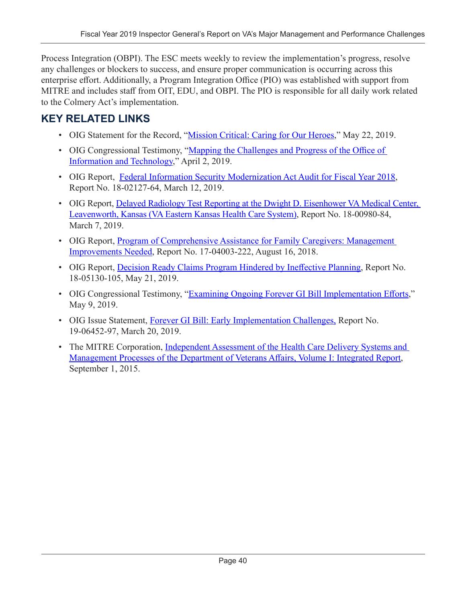Process Integration (OBPI). The ESC meets weekly to review the implementation's progress, resolve any challenges or blockers to success, and ensure proper communication is occurring across this enterprise effort. Additionally, a Program Integration Office (PIO) was established with support from MITRE and includes staff from OIT, EDU, and OBPI. The PIO is responsible for all daily work related to the Colmery Act's implementation.

#### **KEY RELATED LINKS**

- OIG Statement for the Record, "[Mission Critical: Caring for Our](https://www.va.gov/oig/pubs/statements/VAOIG-statement-20190522-oig.pdf) Heroes," May 22, 2019.
- OIG Congressional Testimony, "Mapping the Challenges and Progress of the Office of [Information and Technology](https://www.va.gov/oig/pubs/statements/VAOIG-statement-20190402-arronte.pdf)," April 2, 2019.
- OIG Report, [Federal Information Security Modernization Act Audit for Fiscal Year 2018](https://www.va.gov/oig/pubs/VAOIG-18-02127-64.pdf), Report No. 18-02127-64, March 12, 2019.
- OIG Report, Delayed Radiology Test Reporting at the Dwight D. Eisenhower VA Medical Center, [Leavenworth, Kansas \(VA Eastern Kansas Health](https://www.va.gov/oig/pubs/VAOIG-18-00980-84.pdf) [Care System\)](https://www.va.gov/oig/pubs/VAOIG-18-00980-84.pdf), Report No. 18-00980-84, March 7, 2019.
- OIG Report, Program of Comprehensive Assistance for Family Caregivers: Management [Improvements Needed,](https://www.va.gov/oig/pubs/VAOIG-17-04003-222.pdf) Report No. 17-04003-222, August 16, 2018.
- OIG Report, [Decision Ready Claims Program Hindered by Ineffective Planning](https://www.va.gov/oig/pubs/VAOIG-18-05130-105.pdf), Report No. 18-05130-105, May 21, 2019.
- OIG Congressional Testimony, "[Examining Ongoing Forever GI Bill](https://www.va.gov/oig/pubs/statements/VAOIG-statement-20190509-missal.pdf) [Implementation Efforts](https://www.va.gov/oig/pubs/statements/VAOIG-statement-20190509-missal.pdf)," May 9, 2019.
- OIG Issue Statement, [Forever GI Bill: Early Implementation Challenges,](https://www.va.gov/oig/pubs/VAOIG-19-06452-97.pdf) Report No. 19-06452-97, March 20, 2019.
- The MITRE Corporation, [Independent Assessment of the Health Care Delivery Systems](https://www.va.gov/opa/choiceact/documents/assessments/Integrated_Report.pdf) and [Management Processes of the Department of Veterans Affairs, Volume I: Integrated Report](https://www.va.gov/opa/choiceact/documents/assessments/Integrated_Report.pdf), September 1, 2015.